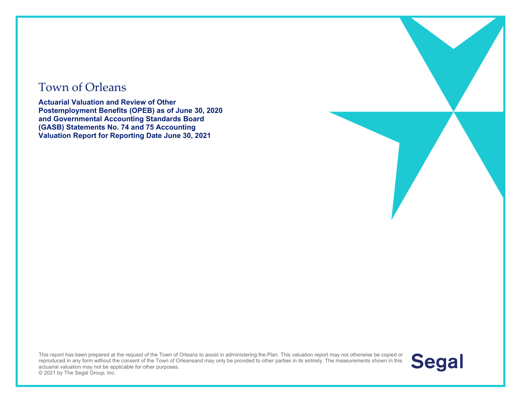#### Town of Orleans

**Actuarial Valuation and Review of Other Postemployment Benefits (OPEB) as of June 30, 2020 and Governmental Accounting Standards Board (GASB) Statements No. 74 and 75 Accounting Valuation Report for Reporting Date June 30, 2021** 

This report has been prepared at the request of the Town of Orleans to assist in administering the Plan. This valuation report may not otherwise be copied or reproduced in any form without the consent of the Town of Orleansand may only be provided to other parties in its entirety. The measurements shown in this actuarial valuation may not be applicable for other purposes. © 2021 by The Segal Group, Inc.

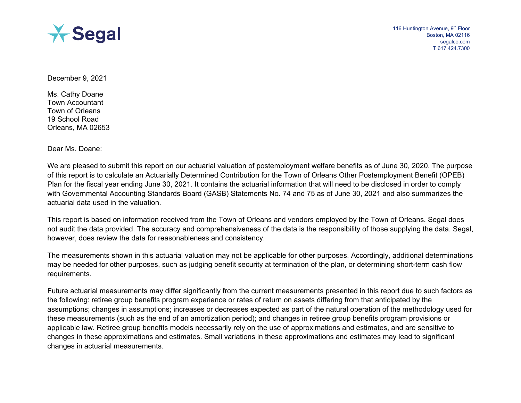

December 9, 2021

Ms. Cathy Doane Town Accountant Town of Orleans 19 School Road Orleans, MA 02653

Dear Ms. Doane:

We are pleased to submit this report on our actuarial valuation of postemployment welfare benefits as of June 30, 2020. The purpose of this report is to calculate an Actuarially Determined Contribution for the Town of Orleans Other Postemployment Benefit (OPEB) Plan for the fiscal year ending June 30, 2021. It contains the actuarial information that will need to be disclosed in order to comply with Governmental Accounting Standards Board (GASB) Statements No. 74 and 75 as of June 30, 2021 and also summarizes the actuarial data used in the valuation.

This report is based on information received from the Town of Orleans and vendors employed by the Town of Orleans. Segal does not audit the data provided. The accuracy and comprehensiveness of the data is the responsibility of those supplying the data. Segal, however, does review the data for reasonableness and consistency.

The measurements shown in this actuarial valuation may not be applicable for other purposes. Accordingly, additional determinations may be needed for other purposes, such as judging benefit security at termination of the plan, or determining short-term cash flow requirements.

Future actuarial measurements may differ significantly from the current measurements presented in this report due to such factors as the following: retiree group benefits program experience or rates of return on assets differing from that anticipated by the assumptions; changes in assumptions; increases or decreases expected as part of the natural operation of the methodology used for these measurements (such as the end of an amortization period); and changes in retiree group benefits program provisions or applicable law. Retiree group benefits models necessarily rely on the use of approximations and estimates, and are sensitive to changes in these approximations and estimates. Small variations in these approximations and estimates may lead to significant changes in actuarial measurements.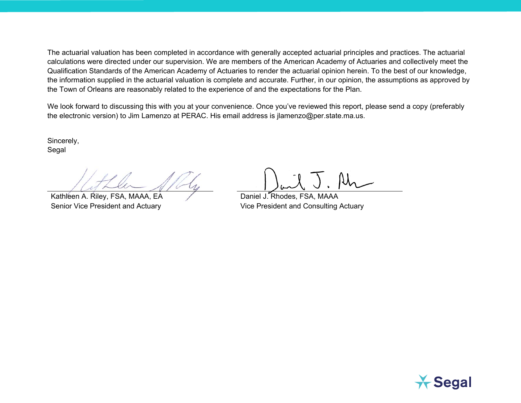The actuarial valuation has been completed in accordance with generally accepted actuarial principles and practices. The actuarial calculations were directed under our supervision. We are members of the American Academy of Actuaries and collectively meet the Qualification Standards of the American Academy of Actuaries to render the actuarial opinion herein. To the best of our knowledge, the information supplied in the actuarial valuation is complete and accurate. Further, in our opinion, the assumptions as approved by the Town of Orleans are reasonably related to the experience of and the expectations for the Plan.

We look forward to discussing this with you at your convenience. Once you've reviewed this report, please send a copy (preferably the electronic version) to Jim Lamenzo at PERAC. His email address is jlamenzo@per.state.ma.us.

Sincerely, Segal

Kathleen A. Riley, FSA, MAAA, EA Daniel J. Rhodes, FSA, MAAA

Senior Vice President and Actuary **Vice President and Consulting Actuary** Vice President and Consulting Actuary

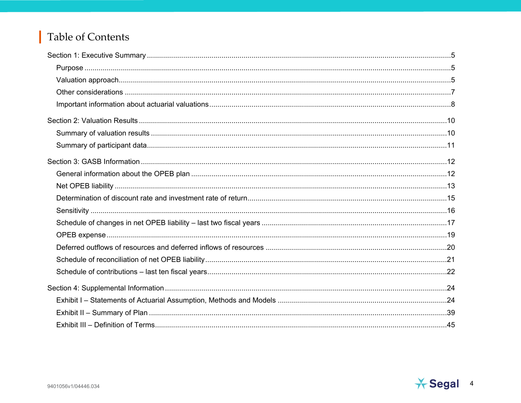#### Table of Contents

П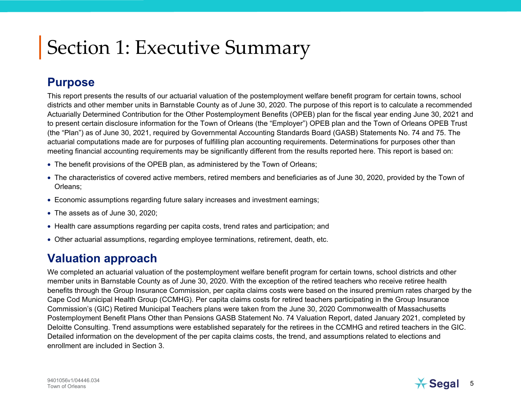#### **Purpose**

This report presents the results of our actuarial valuation of the postemployment welfare benefit program for certain towns, school districts and other member units in Barnstable County as of June 30, 2020. The purpose of this report is to calculate a recommended Actuarially Determined Contribution for the Other Postemployment Benefits (OPEB) plan for the fiscal year ending June 30, 2021 and to present certain disclosure information for the Town of Orleans (the "Employer") OPEB plan and the Town of Orleans OPEB Trust (the "Plan") as of June 30, 2021, required by Governmental Accounting Standards Board (GASB) Statements No. 74 and 75. The actuarial computations made are for purposes of fulfilling plan accounting requirements. Determinations for purposes other than meeting financial accounting requirements may be significantly different from the results reported here. This report is based on:

- The benefit provisions of the OPEB plan, as administered by the Town of Orleans;
- The characteristics of covered active members, retired members and beneficiaries as of June 30, 2020, provided by the Town of Orleans;
- Economic assumptions regarding future salary increases and investment earnings;
- The assets as of June 30, 2020;
- Health care assumptions regarding per capita costs, trend rates and participation; and
- Other actuarial assumptions, regarding employee terminations, retirement, death, etc.

#### **Valuation approach**

We completed an actuarial valuation of the postemployment welfare benefit program for certain towns, school districts and other member units in Barnstable County as of June 30, 2020. With the exception of the retired teachers who receive retiree health benefits through the Group Insurance Commission, per capita claims costs were based on the insured premium rates charged by the Cape Cod Municipal Health Group (CCMHG). Per capita claims costs for retired teachers participating in the Group Insurance Commission's (GIC) Retired Municipal Teachers plans were taken from the June 30, 2020 Commonwealth of Massachusetts Postemployment Benefit Plans Other than Pensions GASB Statement No. 74 Valuation Report, dated January 2021, completed by Deloitte Consulting. Trend assumptions were established separately for the retirees in the CCMHG and retired teachers in the GIC. Detailed information on the development of the per capita claims costs, the trend, and assumptions related to elections and enrollment are included in Section 3.

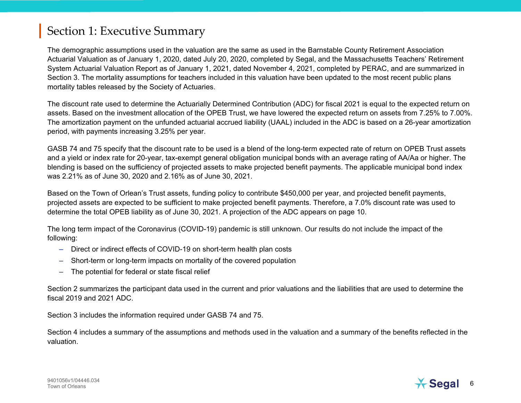The demographic assumptions used in the valuation are the same as used in the Barnstable County Retirement Association Actuarial Valuation as of January 1, 2020, dated July 20, 2020, completed by Segal, and the Massachusetts Teachers' Retirement System Actuarial Valuation Report as of January 1, 2021, dated November 4, 2021, completed by PERAC, and are summarized in Section 3. The mortality assumptions for teachers included in this valuation have been updated to the most recent public plans mortality tables released by the Society of Actuaries.

The discount rate used to determine the Actuarially Determined Contribution (ADC) for fiscal 2021 is equal to the expected return on assets. Based on the investment allocation of the OPEB Trust, we have lowered the expected return on assets from 7.25% to 7.00%. The amortization payment on the unfunded actuarial accrued liability (UAAL) included in the ADC is based on a 26-year amortization period, with payments increasing 3.25% per year.

GASB 74 and 75 specify that the discount rate to be used is a blend of the long-term expected rate of return on OPEB Trust assets and a yield or index rate for 20-year, tax-exempt general obligation municipal bonds with an average rating of AA/Aa or higher. The blending is based on the sufficiency of projected assets to make projected benefit payments. The applicable municipal bond index was 2.21% as of June 30, 2020 and 2.16% as of June 30, 2021.

Based on the Town of Orlean's Trust assets, funding policy to contribute \$450,000 per year, and projected benefit payments, projected assets are expected to be sufficient to make projected benefit payments. Therefore, a 7.0% discount rate was used to determine the total OPEB liability as of June 30, 2021. A projection of the ADC appears on page 10.

The long term impact of the Coronavirus (COVID-19) pandemic is still unknown. Our results do not include the impact of the following:

- Direct or indirect effects of COVID-19 on short-term health plan costs
- Short-term or long-term impacts on mortality of the covered population
- The potential for federal or state fiscal relief

Section 2 summarizes the participant data used in the current and prior valuations and the liabilities that are used to determine the fiscal 2019 and 2021 ADC.

Section 3 includes the information required under GASB 74 and 75.

Section 4 includes a summary of the assumptions and methods used in the valuation and a summary of the benefits reflected in the valuation.

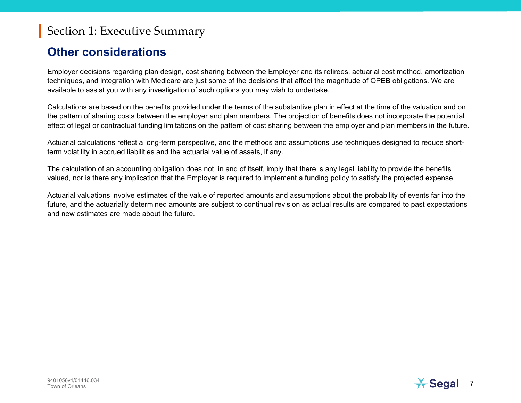#### **Other considerations**

Employer decisions regarding plan design, cost sharing between the Employer and its retirees, actuarial cost method, amortization techniques, and integration with Medicare are just some of the decisions that affect the magnitude of OPEB obligations. We are available to assist you with any investigation of such options you may wish to undertake.

Calculations are based on the benefits provided under the terms of the substantive plan in effect at the time of the valuation and on the pattern of sharing costs between the employer and plan members. The projection of benefits does not incorporate the potential effect of legal or contractual funding limitations on the pattern of cost sharing between the employer and plan members in the future.

Actuarial calculations reflect a long-term perspective, and the methods and assumptions use techniques designed to reduce shortterm volatility in accrued liabilities and the actuarial value of assets, if any.

The calculation of an accounting obligation does not, in and of itself, imply that there is any legal liability to provide the benefits valued, nor is there any implication that the Employer is required to implement a funding policy to satisfy the projected expense.

Actuarial valuations involve estimates of the value of reported amounts and assumptions about the probability of events far into the future, and the actuarially determined amounts are subject to continual revision as actual results are compared to past expectations and new estimates are made about the future.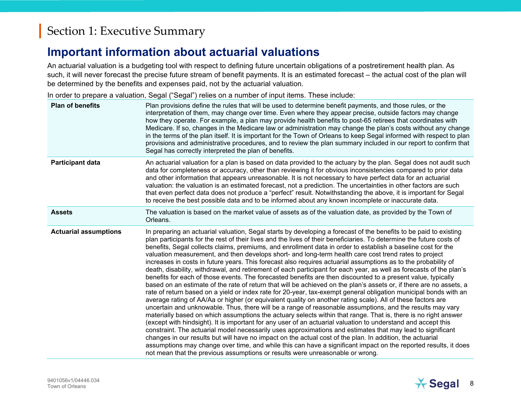#### **Important information about actuarial valuations**

An actuarial valuation is a budgeting tool with respect to defining future uncertain obligations of a postretirement health plan. As such, it will never forecast the precise future stream of benefit payments. It is an estimated forecast – the actual cost of the plan will be determined by the benefits and expenses paid, not by the actuarial valuation.

In order to prepare a valuation, Segal ("Segal") relies on a number of input items. These include:

| <b>Plan of benefits</b>      | Plan provisions define the rules that will be used to determine benefit payments, and those rules, or the<br>interpretation of them, may change over time. Even where they appear precise, outside factors may change<br>how they operate. For example, a plan may provide health benefits to post-65 retirees that coordinates with<br>Medicare. If so, changes in the Medicare law or administration may change the plan's costs without any change<br>in the terms of the plan itself. It is important for the Town of Orleans to keep Segal informed with respect to plan<br>provisions and administrative procedures, and to review the plan summary included in our report to confirm that<br>Segal has correctly interpreted the plan of benefits.                                                                                                                                                                                                                                                                                                                                                                                                                                                                                                                                                                                                                                                                                                                                                                                                                                                                                                                                                                                                                                                                                                                                                                                                            |
|------------------------------|----------------------------------------------------------------------------------------------------------------------------------------------------------------------------------------------------------------------------------------------------------------------------------------------------------------------------------------------------------------------------------------------------------------------------------------------------------------------------------------------------------------------------------------------------------------------------------------------------------------------------------------------------------------------------------------------------------------------------------------------------------------------------------------------------------------------------------------------------------------------------------------------------------------------------------------------------------------------------------------------------------------------------------------------------------------------------------------------------------------------------------------------------------------------------------------------------------------------------------------------------------------------------------------------------------------------------------------------------------------------------------------------------------------------------------------------------------------------------------------------------------------------------------------------------------------------------------------------------------------------------------------------------------------------------------------------------------------------------------------------------------------------------------------------------------------------------------------------------------------------------------------------------------------------------------------------------------------------|
| <b>Participant data</b>      | An actuarial valuation for a plan is based on data provided to the actuary by the plan. Segal does not audit such<br>data for completeness or accuracy, other than reviewing it for obvious inconsistencies compared to prior data<br>and other information that appears unreasonable. It is not necessary to have perfect data for an actuarial<br>valuation: the valuation is an estimated forecast, not a prediction. The uncertainties in other factors are such<br>that even perfect data does not produce a "perfect" result. Notwithstanding the above, it is important for Segal<br>to receive the best possible data and to be informed about any known incomplete or inaccurate data.                                                                                                                                                                                                                                                                                                                                                                                                                                                                                                                                                                                                                                                                                                                                                                                                                                                                                                                                                                                                                                                                                                                                                                                                                                                                      |
| <b>Assets</b>                | The valuation is based on the market value of assets as of the valuation date, as provided by the Town of<br>Orleans.                                                                                                                                                                                                                                                                                                                                                                                                                                                                                                                                                                                                                                                                                                                                                                                                                                                                                                                                                                                                                                                                                                                                                                                                                                                                                                                                                                                                                                                                                                                                                                                                                                                                                                                                                                                                                                                |
| <b>Actuarial assumptions</b> | In preparing an actuarial valuation, Segal starts by developing a forecast of the benefits to be paid to existing<br>plan participants for the rest of their lives and the lives of their beneficiaries. To determine the future costs of<br>benefits, Segal collects claims, premiums, and enrollment data in order to establish a baseline cost for the<br>valuation measurement, and then develops short- and long-term health care cost trend rates to project<br>increases in costs in future years. This forecast also requires actuarial assumptions as to the probability of<br>death, disability, withdrawal, and retirement of each participant for each year, as well as forecasts of the plan's<br>benefits for each of those events. The forecasted benefits are then discounted to a present value, typically<br>based on an estimate of the rate of return that will be achieved on the plan's assets or, if there are no assets, a<br>rate of return based on a yield or index rate for 20-year, tax-exempt general obligation municipal bonds with an<br>average rating of AA/Aa or higher (or equivalent quality on another rating scale). All of these factors are<br>uncertain and unknowable. Thus, there will be a range of reasonable assumptions, and the results may vary<br>materially based on which assumptions the actuary selects within that range. That is, there is no right answer<br>(except with hindsight). It is important for any user of an actuarial valuation to understand and accept this<br>constraint. The actuarial model necessarily uses approximations and estimates that may lead to significant<br>changes in our results but will have no impact on the actual cost of the plan. In addition, the actuarial<br>assumptions may change over time, and while this can have a significant impact on the reported results, it does<br>not mean that the previous assumptions or results were unreasonable or wrong. |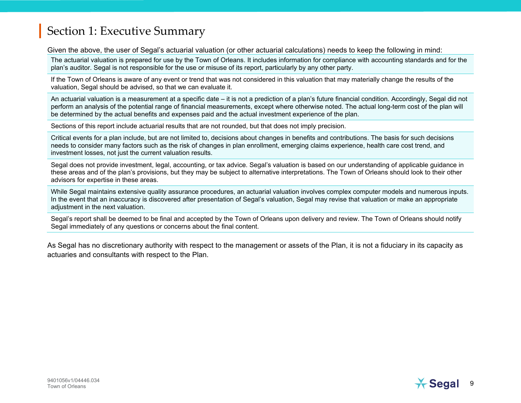Given the above, the user of Segal's actuarial valuation (or other actuarial calculations) needs to keep the following in mind:

The actuarial valuation is prepared for use by the Town of Orleans. It includes information for compliance with accounting standards and for the plan's auditor. Segal is not responsible for the use or misuse of its report, particularly by any other party.

If the Town of Orleans is aware of any event or trend that was not considered in this valuation that may materially change the results of the valuation, Segal should be advised, so that we can evaluate it.

An actuarial valuation is a measurement at a specific date – it is not a prediction of a plan's future financial condition. Accordingly, Segal did not perform an analysis of the potential range of financial measurements, except where otherwise noted. The actual long-term cost of the plan will be determined by the actual benefits and expenses paid and the actual investment experience of the plan.

Sections of this report include actuarial results that are not rounded, but that does not imply precision.

Critical events for a plan include, but are not limited to, decisions about changes in benefits and contributions. The basis for such decisions needs to consider many factors such as the risk of changes in plan enrollment, emerging claims experience, health care cost trend, and investment losses, not just the current valuation results.

Segal does not provide investment, legal, accounting, or tax advice. Segal's valuation is based on our understanding of applicable guidance in these areas and of the plan's provisions, but they may be subject to alternative interpretations. The Town of Orleans should look to their other advisors for expertise in these areas.

While Segal maintains extensive quality assurance procedures, an actuarial valuation involves complex computer models and numerous inputs. In the event that an inaccuracy is discovered after presentation of Segal's valuation, Segal may revise that valuation or make an appropriate adiustment in the next valuation.

Segal's report shall be deemed to be final and accepted by the Town of Orleans upon delivery and review. The Town of Orleans should notify Segal immediately of any questions or concerns about the final content.

As Segal has no discretionary authority with respect to the management or assets of the Plan, it is not a fiduciary in its capacity as actuaries and consultants with respect to the Plan.

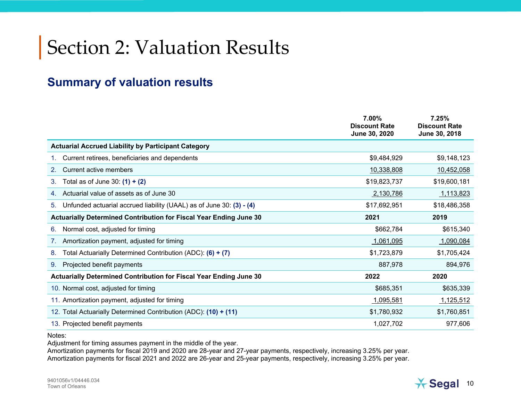# Section 2: Valuation Results

#### **Summary of valuation results**

|                                                                            | 7.00%<br><b>Discount Rate</b><br>June 30, 2020 | 7.25%<br><b>Discount Rate</b><br>June 30, 2018 |
|----------------------------------------------------------------------------|------------------------------------------------|------------------------------------------------|
| <b>Actuarial Accrued Liability by Participant Category</b>                 |                                                |                                                |
| Current retirees, beneficiaries and dependents                             | \$9,484,929                                    | \$9,148,123                                    |
| <b>Current active members</b><br>2.                                        | 10,338,808                                     | 10,452,058                                     |
| Total as of June 30: $(1) + (2)$<br>3.                                     | \$19,823,737                                   | \$19,600,181                                   |
| Actuarial value of assets as of June 30                                    | 2,130,786                                      | 1,113,823                                      |
| Unfunded actuarial accrued liability (UAAL) as of June 30: (3) - (4)<br>5. | \$17,692,951                                   | \$18,486,358                                   |
| Actuarially Determined Contribution for Fiscal Year Ending June 30         | 2021                                           | 2019                                           |
| Normal cost, adjusted for timing<br>6.                                     | \$662,784                                      | \$615,340                                      |
| Amortization payment, adjusted for timing                                  | 1,061,095                                      | 1,090,084                                      |
| Total Actuarially Determined Contribution (ADC): (6) + (7)<br>8.           | \$1,723,879                                    | \$1,705,424                                    |
| Projected benefit payments<br>9.                                           | 887,978                                        | 894,976                                        |
| Actuarially Determined Contribution for Fiscal Year Ending June 30         | 2022                                           | 2020                                           |
| 10. Normal cost, adjusted for timing                                       | \$685,351                                      | \$635,339                                      |
| 11. Amortization payment, adjusted for timing                              | 1,095,581                                      | <u>1,125,512</u>                               |
| 12. Total Actuarially Determined Contribution (ADC): (10) + (11)           | \$1,780,932                                    | \$1,760,851                                    |
| 13. Projected benefit payments                                             | 1,027,702                                      | 977,606                                        |

Notes:

Adjustment for timing assumes payment in the middle of the year.

Amortization payments for fiscal 2019 and 2020 are 28-year and 27-year payments, respectively, increasing 3.25% per year. Amortization payments for fiscal 2021 and 2022 are 26-year and 25-year payments, respectively, increasing 3.25% per year.

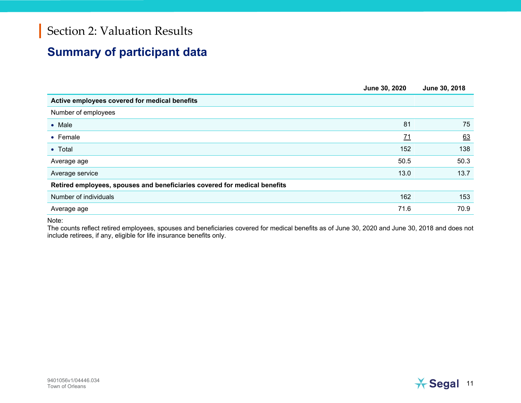## Section 2: Valuation Results

#### **Summary of participant data**

|                                                                           | June 30, 2020    | June 30, 2018 |
|---------------------------------------------------------------------------|------------------|---------------|
| Active employees covered for medical benefits                             |                  |               |
| Number of employees                                                       |                  |               |
| $\bullet$ Male                                                            | 81               | 75            |
| • Female                                                                  | $\underline{71}$ | 63            |
| • Total                                                                   | 152              | 138           |
| Average age                                                               | 50.5             | 50.3          |
| Average service                                                           | 13.0             | 13.7          |
| Retired employees, spouses and beneficiaries covered for medical benefits |                  |               |
| Number of individuals                                                     | 162              | 153           |
| Average age                                                               | 71.6             | 70.9          |
|                                                                           |                  |               |

Note:

The counts reflect retired employees, spouses and beneficiaries covered for medical benefits as of June 30, 2020 and June 30, 2018 and does not include retirees, if any, eligible for life insurance benefits only.

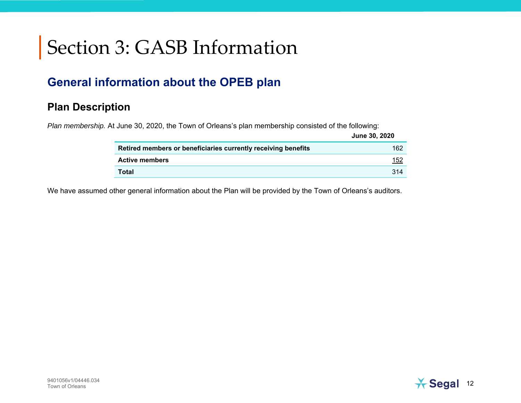#### **General information about the OPEB plan**

#### **Plan Description**

*Plan membership.* At June 30, 2020, the Town of Orleans's plan membership consisted of the following:

|                                                               | <b>June 30, 2020</b> |
|---------------------------------------------------------------|----------------------|
| Retired members or beneficiaries currently receiving benefits | 162                  |
| <b>Active members</b>                                         | <u> 152</u>          |
| Total                                                         | 314                  |

We have assumed other general information about the Plan will be provided by the Town of Orleans's auditors.

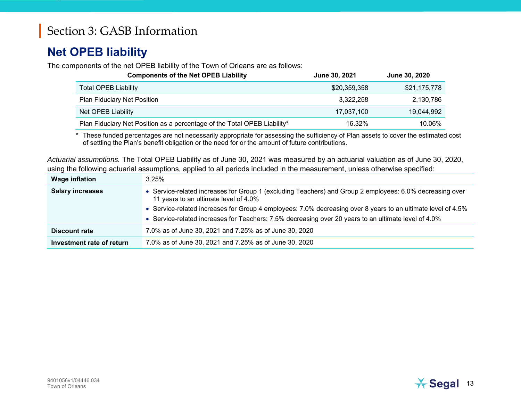#### **Net OPEB liability**

The components of the net OPEB liability of the Town of Orleans are as follows:

| <b>Components of the Net OPEB Liability</b>                              | June 30, 2021 | <b>June 30, 2020</b> |
|--------------------------------------------------------------------------|---------------|----------------------|
| <b>Total OPEB Liability</b>                                              | \$20,359,358  | \$21,175,778         |
| <b>Plan Fiduciary Net Position</b>                                       | 3,322,258     | 2,130,786            |
| Net OPEB Liability                                                       | 17,037,100    | 19,044,992           |
| Plan Fiduciary Net Position as a percentage of the Total OPEB Liability* | 16.32%        | 10.06%               |

\* These funded percentages are not necessarily appropriate for assessing the sufficiency of Plan assets to cover the estimated cost of settling the Plan's benefit obligation or the need for or the amount of future contributions.

*Actuarial assumptions.* The Total OPEB Liability as of June 30, 2021 was measured by an actuarial valuation as of June 30, 2020, using the following actuarial assumptions, applied to all periods included in the measurement, unless otherwise specified:

| <b>Wage inflation</b>     | 3.25%                                                                                                                                             |
|---------------------------|---------------------------------------------------------------------------------------------------------------------------------------------------|
| <b>Salary increases</b>   | • Service-related increases for Group 1 (excluding Teachers) and Group 2 employees: 6.0% decreasing over<br>11 years to an ultimate level of 4.0% |
|                           | • Service-related increases for Group 4 employees: 7.0% decreasing over 8 years to an ultimate level of 4.5%                                      |
|                           | • Service-related increases for Teachers: 7.5% decreasing over 20 years to an ultimate level of 4.0%                                              |
| <b>Discount rate</b>      | 7.0% as of June 30, 2021 and 7.25% as of June 30, 2020                                                                                            |
| Investment rate of return | 7.0% as of June 30, 2021 and 7.25% as of June 30, 2020                                                                                            |

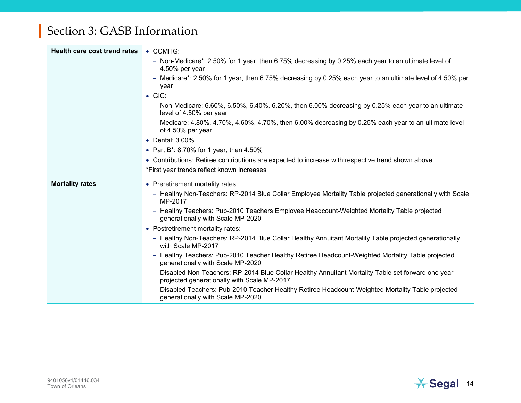| <b>Health care cost trend rates</b> | • CCMHG:                                                                                                                                           |
|-------------------------------------|----------------------------------------------------------------------------------------------------------------------------------------------------|
|                                     | - Non-Medicare*: 2.50% for 1 year, then 6.75% decreasing by 0.25% each year to an ultimate level of<br>4.50% per year                              |
|                                     | - Medicare*: 2.50% for 1 year, then 6.75% decreasing by 0.25% each year to an ultimate level of 4.50% per<br>year                                  |
|                                     | $\bullet$ GIC:                                                                                                                                     |
|                                     | - Non-Medicare: $6.60\%$ , $6.50\%$ , $6.40\%$ , $6.20\%$ , then $6.00\%$ decreasing by 0.25% each year to an ultimate<br>level of 4.50% per year  |
|                                     | - Medicare: $4.80\%$ , $4.70\%$ , $4.60\%$ , $4.70\%$ , then 6.00% decreasing by 0.25% each year to an ultimate level<br>of 4.50% per year         |
|                                     | • Dental: 3.00%                                                                                                                                    |
|                                     | • Part B <sup>*</sup> : 8.70% for 1 year, then $4.50\%$                                                                                            |
|                                     | • Contributions: Retiree contributions are expected to increase with respective trend shown above.                                                 |
|                                     | *First year trends reflect known increases                                                                                                         |
| <b>Mortality rates</b>              | • Preretirement mortality rates:                                                                                                                   |
|                                     | - Healthy Non-Teachers: RP-2014 Blue Collar Employee Mortality Table projected generationally with Scale<br>MP-2017                                |
|                                     | - Healthy Teachers: Pub-2010 Teachers Employee Headcount-Weighted Mortality Table projected<br>generationally with Scale MP-2020                   |
|                                     | • Postretirement mortality rates:                                                                                                                  |
|                                     | - Healthy Non-Teachers: RP-2014 Blue Collar Healthy Annuitant Mortality Table projected generationally<br>with Scale MP-2017                       |
|                                     | - Healthy Teachers: Pub-2010 Teacher Healthy Retiree Headcount-Weighted Mortality Table projected<br>generationally with Scale MP-2020             |
|                                     | - Disabled Non-Teachers: RP-2014 Blue Collar Healthy Annuitant Mortality Table set forward one year<br>projected generationally with Scale MP-2017 |
|                                     | - Disabled Teachers: Pub-2010 Teacher Healthy Retiree Headcount-Weighted Mortality Table projected<br>generationally with Scale MP-2020            |

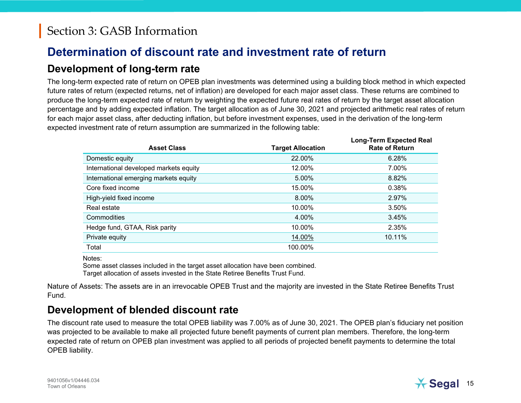#### **Determination of discount rate and investment rate of return**

#### **Development of long-term rate**

The long-term expected rate of return on OPEB plan investments was determined using a building block method in which expected future rates of return (expected returns, net of inflation) are developed for each major asset class. These returns are combined to produce the long-term expected rate of return by weighting the expected future real rates of return by the target asset allocation percentage and by adding expected inflation. The target allocation as of June 30, 2021 and projected arithmetic real rates of return for each major asset class, after deducting inflation, but before investment expenses, used in the derivation of the long-term expected investment rate of return assumption are summarized in the following table:

| <b>Asset Class</b>                     | <b>Target Allocation</b> | <b>Long-Term Expected Real</b><br><b>Rate of Return</b> |
|----------------------------------------|--------------------------|---------------------------------------------------------|
| Domestic equity                        | 22.00%                   | 6.28%                                                   |
| International developed markets equity | 12.00%                   | 7.00%                                                   |
| International emerging markets equity  | 5.00%                    | 8.82%                                                   |
| Core fixed income                      | 15.00%                   | 0.38%                                                   |
| High-yield fixed income                | 8.00%                    | 2.97%                                                   |
| Real estate                            | 10.00%                   | 3.50%                                                   |
| Commodities                            | 4.00%                    | 3.45%                                                   |
| Hedge fund, GTAA, Risk parity          | 10.00%                   | 2.35%                                                   |
| Private equity                         | 14.00%                   | 10.11%                                                  |
| Total                                  | 100.00%                  |                                                         |

Notes:

Some asset classes included in the target asset allocation have been combined. Target allocation of assets invested in the State Retiree Benefits Trust Fund.

Nature of Assets: The assets are in an irrevocable OPEB Trust and the majority are invested in the State Retiree Benefits Trust Fund.

#### **Development of blended discount rate**

The discount rate used to measure the total OPEB liability was 7.00% as of June 30, 2021. The OPEB plan's fiduciary net position was projected to be available to make all projected future benefit payments of current plan members. Therefore, the long-term expected rate of return on OPEB plan investment was applied to all periods of projected benefit payments to determine the total OPEB liability.

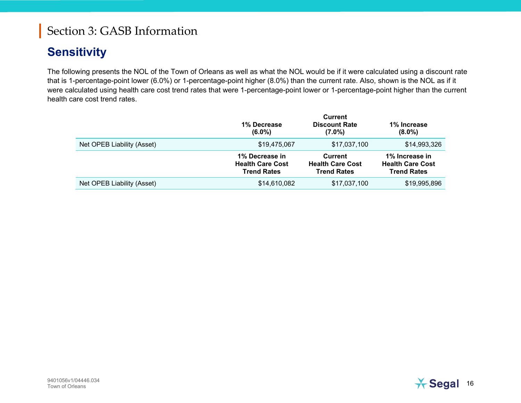#### **Sensitivity**

The following presents the NOL of the Town of Orleans as well as what the NOL would be if it were calculated using a discount rate that is 1-percentage-point lower (6.0%) or 1-percentage-point higher (8.0%) than the current rate. Also, shown is the NOL as if it were calculated using health care cost trend rates that were 1-percentage-point lower or 1-percentage-point higher than the current health care cost trend rates.

|                            | 1% Decrease<br>$(6.0\%)$                                        | <b>Current</b><br><b>Discount Rate</b><br>$(7.0\%)$             | 1% Increase<br>$(8.0\%)$                                        |
|----------------------------|-----------------------------------------------------------------|-----------------------------------------------------------------|-----------------------------------------------------------------|
| Net OPEB Liability (Asset) | \$19,475,067                                                    | \$17,037,100                                                    | \$14,993,326                                                    |
|                            | 1% Decrease in<br><b>Health Care Cost</b><br><b>Trend Rates</b> | <b>Current</b><br><b>Health Care Cost</b><br><b>Trend Rates</b> | 1% Increase in<br><b>Health Care Cost</b><br><b>Trend Rates</b> |
| Net OPEB Liability (Asset) | \$14,610,082                                                    | \$17,037,100                                                    | \$19,995,896                                                    |

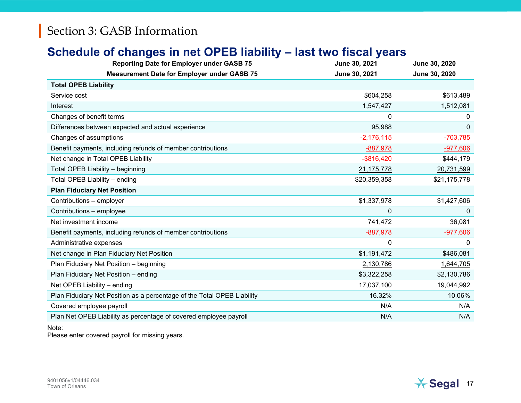#### **Schedule of changes in net OPEB liability – last two fiscal years**

| <b>Reporting Date for Employer under GASB 75</b>                        | June 30, 2021  | June 30, 2020  |
|-------------------------------------------------------------------------|----------------|----------------|
| <b>Measurement Date for Employer under GASB 75</b>                      | June 30, 2021  | June 30, 2020  |
| <b>Total OPEB Liability</b>                                             |                |                |
| Service cost                                                            | \$604,258      | \$613,489      |
| Interest                                                                | 1,547,427      | 1,512,081      |
| Changes of benefit terms                                                | 0              | 0              |
| Differences between expected and actual experience                      | 95,988         | 0              |
| Changes of assumptions                                                  | $-2,176,115$   | $-703,785$     |
| Benefit payments, including refunds of member contributions             | $-887,978$     | $-977,606$     |
| Net change in Total OPEB Liability                                      | $-$ \$816,420  | \$444,179      |
| Total OPEB Liability - beginning                                        | 21,175,778     | 20,731,599     |
| Total OPEB Liability - ending                                           | \$20,359,358   | \$21,175,778   |
| <b>Plan Fiduciary Net Position</b>                                      |                |                |
| Contributions - employer                                                | \$1,337,978    | \$1,427,606    |
| Contributions - employee                                                | 0              | $\Omega$       |
| Net investment income                                                   | 741,472        | 36,081         |
| Benefit payments, including refunds of member contributions             | $-887,978$     | $-977,606$     |
| Administrative expenses                                                 | $\overline{0}$ | $\overline{0}$ |
| Net change in Plan Fiduciary Net Position                               | \$1,191,472    | \$486,081      |
| Plan Fiduciary Net Position - beginning                                 | 2,130,786      | 1,644,705      |
| Plan Fiduciary Net Position - ending                                    | \$3,322,258    | \$2,130,786    |
| Net OPEB Liability - ending                                             | 17,037,100     | 19,044,992     |
| Plan Fiduciary Net Position as a percentage of the Total OPEB Liability | 16.32%         | 10.06%         |
| Covered employee payroll                                                | N/A            | N/A            |
| Plan Net OPEB Liability as percentage of covered employee payroll       | N/A            | N/A            |

#### Note:

Please enter covered payroll for missing years.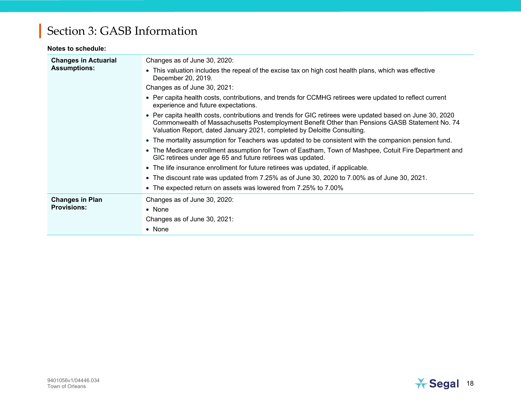#### **Notes to schedule:**

| <b>Changes in Actuarial</b> | Changes as of June 30, 2020:                                                                                                                                                                                                                                                          |
|-----------------------------|---------------------------------------------------------------------------------------------------------------------------------------------------------------------------------------------------------------------------------------------------------------------------------------|
| <b>Assumptions:</b>         | • This valuation includes the repeal of the excise tax on high cost health plans, which was effective<br>December 20, 2019.                                                                                                                                                           |
|                             | Changes as of June 30, 2021:                                                                                                                                                                                                                                                          |
|                             | • Per capita health costs, contributions, and trends for CCMHG retirees were updated to reflect current<br>experience and future expectations.                                                                                                                                        |
|                             | • Per capita health costs, contributions and trends for GIC retirees were updated based on June 30, 2020<br>Commonwealth of Massachusetts Postemployment Benefit Other than Pensions GASB Statement No. 74<br>Valuation Report, dated January 2021, completed by Deloitte Consulting. |
|                             | • The mortality assumption for Teachers was updated to be consistent with the companion pension fund.                                                                                                                                                                                 |
|                             | • The Medicare enrollment assumption for Town of Eastham, Town of Mashpee, Cotuit Fire Department and<br>GIC retirees under age 65 and future retirees was updated.                                                                                                                   |
|                             | • The life insurance enrollment for future retirees was updated, if applicable.                                                                                                                                                                                                       |
|                             | • The discount rate was updated from 7.25% as of June 30, 2020 to 7.00% as of June 30, 2021.                                                                                                                                                                                          |
|                             | • The expected return on assets was lowered from 7.25% to 7.00%                                                                                                                                                                                                                       |
| <b>Changes in Plan</b>      | Changes as of June 30, 2020:                                                                                                                                                                                                                                                          |
| <b>Provisions:</b>          | $\bullet$ None                                                                                                                                                                                                                                                                        |
|                             | Changes as of June 30, 2021:                                                                                                                                                                                                                                                          |
|                             | $\bullet$ None                                                                                                                                                                                                                                                                        |

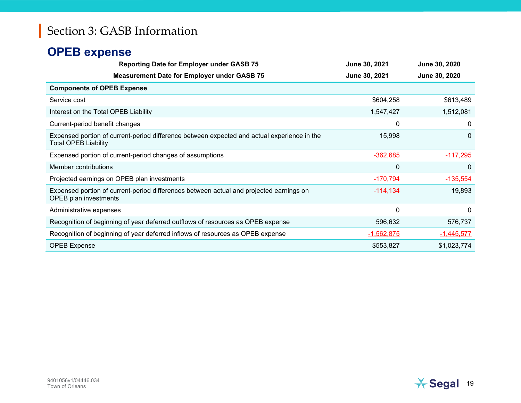#### **OPEB expense**

| <b>Reporting Date for Employer under GASB 75</b>                                                                           | June 30, 2021 | June 30, 2020 |
|----------------------------------------------------------------------------------------------------------------------------|---------------|---------------|
| <b>Measurement Date for Employer under GASB 75</b>                                                                         | June 30, 2021 | June 30, 2020 |
| <b>Components of OPEB Expense</b>                                                                                          |               |               |
| Service cost                                                                                                               | \$604,258     | \$613,489     |
| Interest on the Total OPEB Liability                                                                                       | 1,547,427     | 1,512,081     |
| Current-period benefit changes                                                                                             | 0             | 0             |
| Expensed portion of current-period difference between expected and actual experience in the<br><b>Total OPEB Liability</b> | 15,998        | $\Omega$      |
| Expensed portion of current-period changes of assumptions                                                                  | $-362,685$    | $-117,295$    |
| Member contributions                                                                                                       | $\mathbf 0$   | $\mathbf{0}$  |
| Projected earnings on OPEB plan investments                                                                                | $-170,794$    | $-135,554$    |
| Expensed portion of current-period differences between actual and projected earnings on<br>OPEB plan investments           | $-114, 134$   | 19,893        |
| Administrative expenses                                                                                                    | $\mathbf{0}$  | 0             |
| Recognition of beginning of year deferred outflows of resources as OPEB expense                                            | 596,632       | 576,737       |
| Recognition of beginning of year deferred inflows of resources as OPEB expense                                             | $-1,562,875$  | $-1,445,577$  |
| <b>OPEB Expense</b>                                                                                                        | \$553,827     | \$1,023,774   |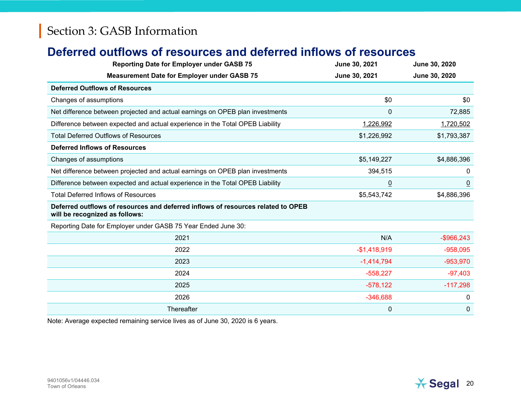#### **Deferred outflows of resources and deferred inflows of resources**

| <b>Reporting Date for Employer under GASB 75</b>                                                                   | June 30, 2021  | June 30, 2020  |
|--------------------------------------------------------------------------------------------------------------------|----------------|----------------|
| <b>Measurement Date for Employer under GASB 75</b>                                                                 | June 30, 2021  | June 30, 2020  |
| <b>Deferred Outflows of Resources</b>                                                                              |                |                |
| Changes of assumptions                                                                                             | \$0            | \$0            |
| Net difference between projected and actual earnings on OPEB plan investments                                      | 0              | 72,885         |
| Difference between expected and actual experience in the Total OPEB Liability                                      | 1,226,992      | 1,720,502      |
| <b>Total Deferred Outflows of Resources</b>                                                                        | \$1,226,992    | \$1,793,387    |
| <b>Deferred Inflows of Resources</b>                                                                               |                |                |
| Changes of assumptions                                                                                             | \$5,149,227    | \$4,886,396    |
| Net difference between projected and actual earnings on OPEB plan investments                                      | 394,515        | 0              |
| Difference between expected and actual experience in the Total OPEB Liability                                      | $\overline{0}$ | $\overline{0}$ |
| <b>Total Deferred Inflows of Resources</b>                                                                         | \$5,543,742    | \$4,886,396    |
| Deferred outflows of resources and deferred inflows of resources related to OPEB<br>will be recognized as follows: |                |                |
| Reporting Date for Employer under GASB 75 Year Ended June 30:                                                      |                |                |
| 2021                                                                                                               | N/A            | $-$ \$966,243  |
| 2022                                                                                                               | $-$1,418,919$  | $-958,095$     |
| 2023                                                                                                               | $-1,414,794$   | $-953,970$     |
| 2024                                                                                                               | $-558,227$     | $-97,403$      |
| 2025                                                                                                               | $-578,122$     | $-117,298$     |
| 2026                                                                                                               | $-346,688$     | 0              |
| Thereafter                                                                                                         | 0              | $\mathbf 0$    |

Note: Average expected remaining service lives as of June 30, 2020 is 6 years.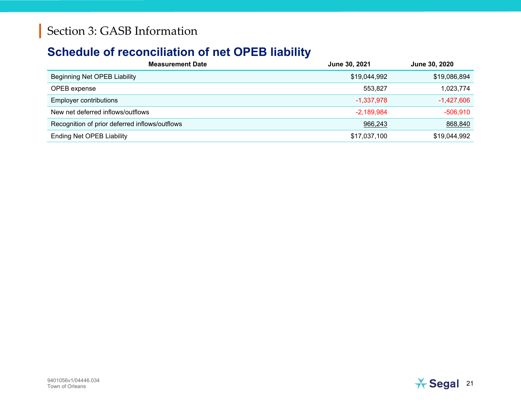#### **Schedule of reconciliation of net OPEB liability**

| <b>Measurement Date</b>                        | June 30, 2021 | <b>June 30, 2020</b> |
|------------------------------------------------|---------------|----------------------|
| Beginning Net OPEB Liability                   | \$19,044,992  | \$19,086,894         |
| OPEB expense                                   | 553.827       | 1,023,774            |
| <b>Employer contributions</b>                  | $-1,337,978$  | $-1,427,606$         |
| New net deferred inflows/outflows              | $-2,189,984$  | $-506,910$           |
| Recognition of prior deferred inflows/outflows | 966,243       | 868,840              |
| <b>Ending Net OPEB Liability</b>               | \$17,037,100  | \$19,044,992         |

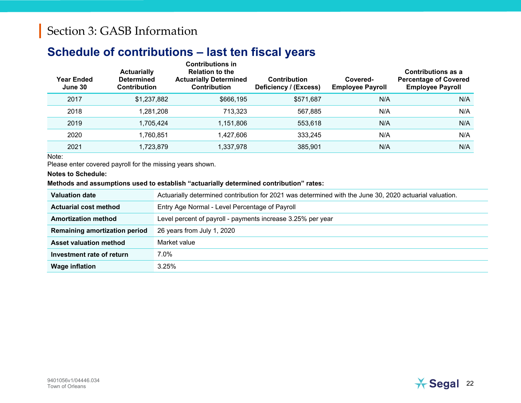#### **Schedule of contributions – last ten fiscal years**

| <b>Year Ended</b><br>June 30 | <b>Actuarially</b><br><b>Determined</b><br>Contribution | <b>Contributions in</b><br><b>Relation to the</b><br><b>Actuarially Determined</b><br><b>Contribution</b> | <b>Contribution</b><br>Deficiency / (Excess) | Covered-<br><b>Employee Payroll</b> | <b>Contributions as a</b><br><b>Percentage of Covered</b><br><b>Employee Payroll</b> |
|------------------------------|---------------------------------------------------------|-----------------------------------------------------------------------------------------------------------|----------------------------------------------|-------------------------------------|--------------------------------------------------------------------------------------|
| 2017                         | \$1,237,882                                             | \$666,195                                                                                                 | \$571,687                                    | N/A                                 | N/A                                                                                  |
| 2018                         | 1,281,208                                               | 713,323                                                                                                   | 567,885                                      | N/A                                 | N/A                                                                                  |
| 2019                         | 1,705,424                                               | 1,151,806                                                                                                 | 553,618                                      | N/A                                 | N/A                                                                                  |
| 2020                         | 1,760,851                                               | 1,427,606                                                                                                 | 333,245                                      | N/A                                 | N/A                                                                                  |
| 2021                         | 1,723,879                                               | 1,337,978                                                                                                 | 385,901                                      | N/A                                 | N/A                                                                                  |

Note:

Please enter covered payroll for the missing years shown.

**Notes to Schedule:**

#### **Methods and assumptions used to establish "actuarially determined contribution" rates:**

| <b>Valuation date</b>                | Actuarially determined contribution for 2021 was determined with the June 30, 2020 actuarial valuation. |
|--------------------------------------|---------------------------------------------------------------------------------------------------------|
| <b>Actuarial cost method</b>         | Entry Age Normal - Level Percentage of Payroll                                                          |
| <b>Amortization method</b>           | Level percent of payroll - payments increase 3.25% per year                                             |
| <b>Remaining amortization period</b> | 26 years from July 1, 2020                                                                              |
| <b>Asset valuation method</b>        | Market value                                                                                            |
| Investment rate of return            | 7.0%                                                                                                    |
| <b>Wage inflation</b>                | 3.25%                                                                                                   |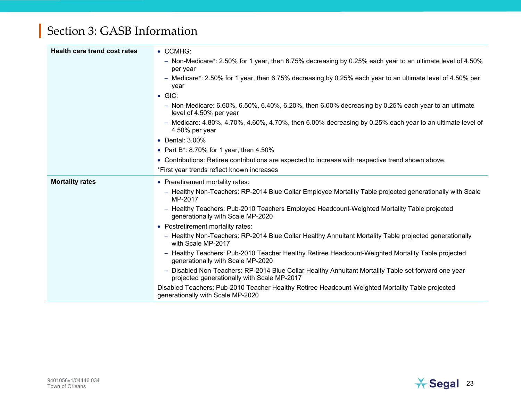| <b>Health care trend cost rates</b> | • CCMHG:                                                                                                                                           |
|-------------------------------------|----------------------------------------------------------------------------------------------------------------------------------------------------|
|                                     | - Non-Medicare*: 2.50% for 1 year, then 6.75% decreasing by 0.25% each year to an ultimate level of 4.50%<br>per year                              |
|                                     | - Medicare*: 2.50% for 1 year, then 6.75% decreasing by 0.25% each year to an ultimate level of 4.50% per<br>year                                  |
|                                     | $\bullet$ GIC:                                                                                                                                     |
|                                     | $-$ Non-Medicare: 6.60%, 6.50%, 6.40%, 6.20%, then 6.00% decreasing by 0.25% each year to an ultimate<br>level of 4.50% per year                   |
|                                     | $-$ Medicare: 4.80%, 4.70%, 4.60%, 4.70%, then 6.00% decreasing by 0.25% each year to an ultimate level of<br>4.50% per year                       |
|                                     | • Dental: 3.00%                                                                                                                                    |
|                                     | • Part B*: 8.70% for 1 year, then $4.50\%$                                                                                                         |
|                                     | • Contributions: Retiree contributions are expected to increase with respective trend shown above.                                                 |
|                                     | *First year trends reflect known increases                                                                                                         |
| <b>Mortality rates</b>              | • Preretirement mortality rates:                                                                                                                   |
|                                     | - Healthy Non-Teachers: RP-2014 Blue Collar Employee Mortality Table projected generationally with Scale<br>MP-2017                                |
|                                     | - Healthy Teachers: Pub-2010 Teachers Employee Headcount-Weighted Mortality Table projected<br>generationally with Scale MP-2020                   |
|                                     | • Postretirement mortality rates:                                                                                                                  |
|                                     | - Healthy Non-Teachers: RP-2014 Blue Collar Healthy Annuitant Mortality Table projected generationally<br>with Scale MP-2017                       |
|                                     | - Healthy Teachers: Pub-2010 Teacher Healthy Retiree Headcount-Weighted Mortality Table projected<br>generationally with Scale MP-2020             |
|                                     | - Disabled Non-Teachers: RP-2014 Blue Collar Healthy Annuitant Mortality Table set forward one year<br>projected generationally with Scale MP-2017 |
|                                     | Disabled Teachers: Pub-2010 Teacher Healthy Retiree Headcount-Weighted Mortality Table projected<br>generationally with Scale MP-2020              |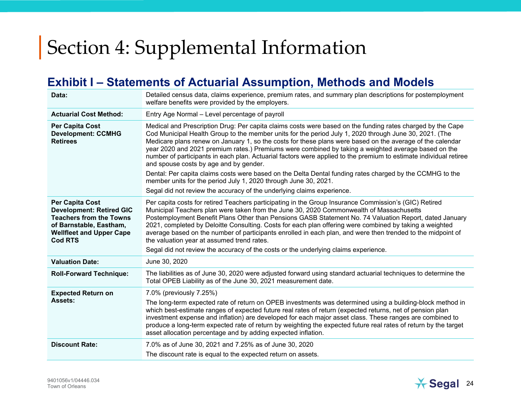#### **Exhibit I – Statements of Actuarial Assumption, Methods and Models**

| Entry Age Normal - Level percentage of payroll<br><b>Actuarial Cost Method:</b><br>Medical and Prescription Drug: Per capita claims costs were based on the funding rates charged by the Cape<br><b>Per Capita Cost</b>                                                                                                                                                                                                                                                                                                                                                                                                                                                                                                                                                                                                                                  | Data:                     | Detailed census data, claims experience, premium rates, and summary plan descriptions for postemployment<br>welfare benefits were provided by the employers.                                                                |  |  |  |  |  |
|----------------------------------------------------------------------------------------------------------------------------------------------------------------------------------------------------------------------------------------------------------------------------------------------------------------------------------------------------------------------------------------------------------------------------------------------------------------------------------------------------------------------------------------------------------------------------------------------------------------------------------------------------------------------------------------------------------------------------------------------------------------------------------------------------------------------------------------------------------|---------------------------|-----------------------------------------------------------------------------------------------------------------------------------------------------------------------------------------------------------------------------|--|--|--|--|--|
|                                                                                                                                                                                                                                                                                                                                                                                                                                                                                                                                                                                                                                                                                                                                                                                                                                                          |                           |                                                                                                                                                                                                                             |  |  |  |  |  |
| <b>Retirees</b><br>Medicare plans renew on January 1, so the costs for these plans were based on the average of the calendar<br>year 2020 and 2021 premium rates.) Premiums were combined by taking a weighted average based on the<br>and spouse costs by age and by gender.<br>Dental: Per capita claims costs were based on the Delta Dental funding rates charged by the CCMHG to the<br>member units for the period July 1, 2020 through June 30, 2021.<br>Segal did not review the accuracy of the underlying claims experience.                                                                                                                                                                                                                                                                                                                   | <b>Development: CCMHG</b> | Cod Municipal Health Group to the member units for the period July 1, 2020 through June 30, 2021. (The<br>number of participants in each plan. Actuarial factors were applied to the premium to estimate individual retiree |  |  |  |  |  |
| Per capita costs for retired Teachers participating in the Group Insurance Commission's (GIC) Retired<br><b>Per Capita Cost</b><br><b>Development: Retired GIC</b><br>Municipal Teachers plan were taken from the June 30, 2020 Commonwealth of Massachusetts<br><b>Teachers from the Towns</b><br>Postemployment Benefit Plans Other than Pensions GASB Statement No. 74 Valuation Report, dated January<br>2021, completed by Deloitte Consulting. Costs for each plan offering were combined by taking a weighted<br>of Barnstable, Eastham,<br>average based on the number of participants enrolled in each plan, and were then trended to the midpoint of<br><b>Wellfleet and Upper Cape</b><br>the valuation year at assumed trend rates.<br><b>Cod RTS</b><br>Segal did not review the accuracy of the costs or the underlying claims experience. |                           |                                                                                                                                                                                                                             |  |  |  |  |  |
| <b>Valuation Date:</b><br>June 30, 2020                                                                                                                                                                                                                                                                                                                                                                                                                                                                                                                                                                                                                                                                                                                                                                                                                  |                           |                                                                                                                                                                                                                             |  |  |  |  |  |
| <b>Roll-Forward Technique:</b><br>The liabilities as of June 30, 2020 were adjusted forward using standard actuarial techniques to determine the<br>Total OPEB Liability as of the June 30, 2021 measurement date.                                                                                                                                                                                                                                                                                                                                                                                                                                                                                                                                                                                                                                       |                           |                                                                                                                                                                                                                             |  |  |  |  |  |
| <b>Expected Return on</b><br>7.0% (previously 7.25%)<br>Assets:<br>The long-term expected rate of return on OPEB investments was determined using a building-block method in<br>which best-estimate ranges of expected future real rates of return (expected returns, net of pension plan<br>investment expense and inflation) are developed for each major asset class. These ranges are combined to<br>produce a long-term expected rate of return by weighting the expected future real rates of return by the target<br>asset allocation percentage and by adding expected inflation.                                                                                                                                                                                                                                                                |                           |                                                                                                                                                                                                                             |  |  |  |  |  |
| <b>Discount Rate:</b><br>7.0% as of June 30, 2021 and 7.25% as of June 30, 2020<br>The discount rate is equal to the expected return on assets.                                                                                                                                                                                                                                                                                                                                                                                                                                                                                                                                                                                                                                                                                                          |                           |                                                                                                                                                                                                                             |  |  |  |  |  |

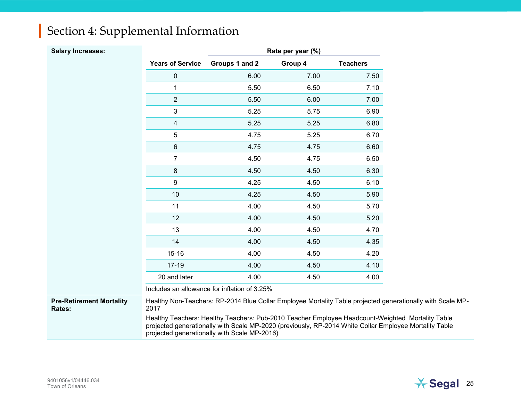| <b>Salary Increases:</b>                  |                         |                                                                                                                                                                                                                                                            | Rate per year (%) |                 |
|-------------------------------------------|-------------------------|------------------------------------------------------------------------------------------------------------------------------------------------------------------------------------------------------------------------------------------------------------|-------------------|-----------------|
|                                           | <b>Years of Service</b> | Groups 1 and 2                                                                                                                                                                                                                                             | Group 4           | <b>Teachers</b> |
|                                           | $\pmb{0}$               | 6.00                                                                                                                                                                                                                                                       | 7.00              | 7.50            |
|                                           | 1                       | 5.50                                                                                                                                                                                                                                                       | 6.50              | 7.10            |
|                                           | $\overline{2}$          | 5.50                                                                                                                                                                                                                                                       | 6.00              | 7.00            |
|                                           | 3                       | 5.25                                                                                                                                                                                                                                                       | 5.75              | 6.90            |
|                                           | 4                       | 5.25                                                                                                                                                                                                                                                       | 5.25              | 6.80            |
|                                           | 5                       | 4.75                                                                                                                                                                                                                                                       | 5.25              | 6.70            |
|                                           | 6                       | 4.75                                                                                                                                                                                                                                                       | 4.75              | 6.60            |
|                                           | 7                       | 4.50                                                                                                                                                                                                                                                       | 4.75              | 6.50            |
|                                           | 8                       | 4.50                                                                                                                                                                                                                                                       | 4.50              | 6.30            |
|                                           | 9                       | 4.25                                                                                                                                                                                                                                                       | 4.50              | 6.10            |
|                                           | 10                      | 4.25                                                                                                                                                                                                                                                       | 4.50              | 5.90            |
|                                           | 11                      | 4.00                                                                                                                                                                                                                                                       | 4.50              | 5.70            |
|                                           | 12                      | 4.00                                                                                                                                                                                                                                                       | 4.50              | 5.20            |
|                                           | 13                      | 4.00                                                                                                                                                                                                                                                       | 4.50              | 4.70            |
|                                           | 14                      | 4.00                                                                                                                                                                                                                                                       | 4.50              | 4.35            |
|                                           | $15 - 16$               | 4.00                                                                                                                                                                                                                                                       | 4.50              | 4.20            |
|                                           | $17 - 19$               | 4.00                                                                                                                                                                                                                                                       | 4.50              | 4.10            |
|                                           | 20 and later            | 4.00                                                                                                                                                                                                                                                       | 4.50              | 4.00            |
|                                           |                         | Includes an allowance for inflation of 3.25%                                                                                                                                                                                                               |                   |                 |
| <b>Pre-Retirement Mortality</b><br>Rates: | 2017                    | Healthy Non-Teachers: RP-2014 Blue Collar Employee Mortality Table projected generationally with Scale MP-                                                                                                                                                 |                   |                 |
|                                           |                         | Healthy Teachers: Healthy Teachers: Pub-2010 Teacher Employee Headcount-Weighted Mortality Table<br>projected generationally with Scale MP-2020 (previously, RP-2014 White Collar Employee Mortality Table<br>projected generationally with Scale MP-2016) |                   |                 |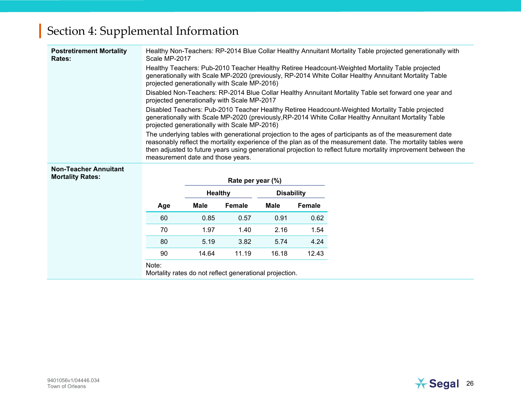| <b>Postretirement Mortality</b><br>Rates:               | Healthy Non-Teachers: RP-2014 Blue Collar Healthy Annuitant Mortality Table projected generationally with<br>Scale MP-2017                                                                                                                                                                                                                                                         |             |                                              |                   |               |                                                                                                                                                                                                           |  |  |
|---------------------------------------------------------|------------------------------------------------------------------------------------------------------------------------------------------------------------------------------------------------------------------------------------------------------------------------------------------------------------------------------------------------------------------------------------|-------------|----------------------------------------------|-------------------|---------------|-----------------------------------------------------------------------------------------------------------------------------------------------------------------------------------------------------------|--|--|
|                                                         | Healthy Teachers: Pub-2010 Teacher Healthy Retiree Headcount-Weighted Mortality Table projected<br>generationally with Scale MP-2020 (previously, RP-2014 White Collar Healthy Annuitant Mortality Table<br>projected generationally with Scale MP-2016)                                                                                                                           |             |                                              |                   |               |                                                                                                                                                                                                           |  |  |
|                                                         |                                                                                                                                                                                                                                                                                                                                                                                    |             | projected generationally with Scale MP-2017  |                   |               | Disabled Non-Teachers: RP-2014 Blue Collar Healthy Annuitant Mortality Table set forward one year and                                                                                                     |  |  |
|                                                         |                                                                                                                                                                                                                                                                                                                                                                                    |             | projected generationally with Scale MP-2016) |                   |               | Disabled Teachers: Pub-2010 Teacher Healthy Retiree Headcount-Weighted Mortality Table projected<br>generationally with Scale MP-2020 (previously, RP-2014 White Collar Healthy Annuitant Mortality Table |  |  |
|                                                         | The underlying tables with generational projection to the ages of participants as of the measurement date<br>reasonably reflect the mortality experience of the plan as of the measurement date. The mortality tables were<br>then adjusted to future years using generational projection to reflect future mortality improvement between the<br>measurement date and those years. |             |                                              |                   |               |                                                                                                                                                                                                           |  |  |
| <b>Non-Teacher Annuitant</b><br><b>Mortality Rates:</b> |                                                                                                                                                                                                                                                                                                                                                                                    |             | Rate per year (%)                            |                   |               |                                                                                                                                                                                                           |  |  |
|                                                         |                                                                                                                                                                                                                                                                                                                                                                                    | Healthy     |                                              | <b>Disability</b> |               |                                                                                                                                                                                                           |  |  |
|                                                         | Age                                                                                                                                                                                                                                                                                                                                                                                | <b>Male</b> | Female                                       | Male              | <b>Female</b> |                                                                                                                                                                                                           |  |  |
|                                                         | 60                                                                                                                                                                                                                                                                                                                                                                                 | 0.85        | 0.57                                         | 0.91              | 0.62          |                                                                                                                                                                                                           |  |  |
|                                                         | 70                                                                                                                                                                                                                                                                                                                                                                                 | 1.97        | 1.40                                         | 2.16              | 1.54          |                                                                                                                                                                                                           |  |  |
|                                                         | 80                                                                                                                                                                                                                                                                                                                                                                                 | 5.19        | 3.82                                         | 5.74              | 4.24          |                                                                                                                                                                                                           |  |  |
|                                                         |                                                                                                                                                                                                                                                                                                                                                                                    |             |                                              |                   |               |                                                                                                                                                                                                           |  |  |
|                                                         | 90                                                                                                                                                                                                                                                                                                                                                                                 | 14.64       | 11.19                                        | 16.18             | 12.43         |                                                                                                                                                                                                           |  |  |

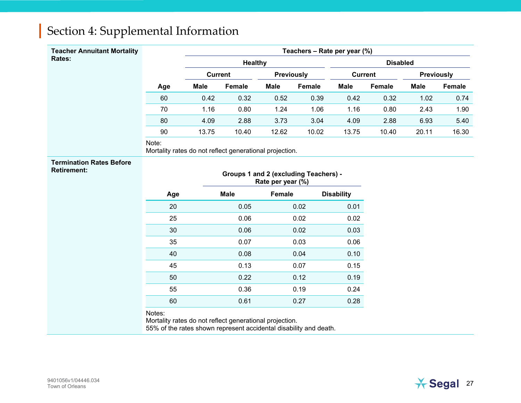| <b>Teacher Annuitant Mortality</b>                    | Teachers - Rate per year (%)                                                                                                           |                |                                       |                   |                 |                   |        |             |        |
|-------------------------------------------------------|----------------------------------------------------------------------------------------------------------------------------------------|----------------|---------------------------------------|-------------------|-----------------|-------------------|--------|-------------|--------|
| Rates:                                                |                                                                                                                                        | <b>Healthy</b> |                                       |                   | <b>Disabled</b> |                   |        |             |        |
|                                                       |                                                                                                                                        | <b>Current</b> |                                       | <b>Previously</b> |                 | <b>Current</b>    |        | Previously  |        |
|                                                       | Age                                                                                                                                    | <b>Male</b>    | Female                                | <b>Male</b>       | Female          | <b>Male</b>       | Female | <b>Male</b> | Female |
|                                                       | 60                                                                                                                                     | 0.42           | 0.32                                  | 0.52              | 0.39            | 0.42              | 0.32   | 1.02        | 0.74   |
|                                                       | 70                                                                                                                                     | 1.16           | 0.80                                  | 1.24              | 1.06            | 1.16              | 0.80   | 2.43        | 1.90   |
|                                                       | 80                                                                                                                                     | 4.09           | 2.88                                  | 3.73              | 3.04            | 4.09              | 2.88   | 6.93        | 5.40   |
|                                                       | 90                                                                                                                                     | 13.75          | 10.40                                 | 12.62             | 10.02           | 13.75             | 10.40  | 20.11       | 16.30  |
|                                                       | Note:<br>Mortality rates do not reflect generational projection.                                                                       |                |                                       |                   |                 |                   |        |             |        |
| <b>Termination Rates Before</b><br><b>Retirement:</b> |                                                                                                                                        |                | Groups 1 and 2 (excluding Teachers) - | Rate per year (%) |                 |                   |        |             |        |
|                                                       | Age                                                                                                                                    |                | <b>Male</b>                           | Female            |                 | <b>Disability</b> |        |             |        |
|                                                       | 20                                                                                                                                     |                | 0.05                                  |                   | 0.02            | 0.01              |        |             |        |
|                                                       | 25                                                                                                                                     |                | 0.06                                  |                   | 0.02            | 0.02              |        |             |        |
|                                                       | 30                                                                                                                                     |                | 0.06                                  |                   | 0.02            | 0.03              |        |             |        |
|                                                       | 35                                                                                                                                     |                | 0.07                                  |                   | 0.03            | 0.06              |        |             |        |
|                                                       | 40                                                                                                                                     |                | 0.08                                  |                   | 0.04            | 0.10              |        |             |        |
|                                                       | 45                                                                                                                                     |                | 0.13                                  |                   | 0.07            | 0.15              |        |             |        |
|                                                       | 50                                                                                                                                     |                | 0.22                                  |                   | 0.12            | 0.19              |        |             |        |
|                                                       | 55                                                                                                                                     |                | 0.36                                  |                   | 0.19            | 0.24              |        |             |        |
|                                                       | 60                                                                                                                                     |                | 0.61                                  |                   | 0.27            | 0.28              |        |             |        |
|                                                       | Notes:<br>Mortality rates do not reflect generational projection.<br>55% of the rates shown represent accidental disability and death. |                |                                       |                   |                 |                   |        |             |        |

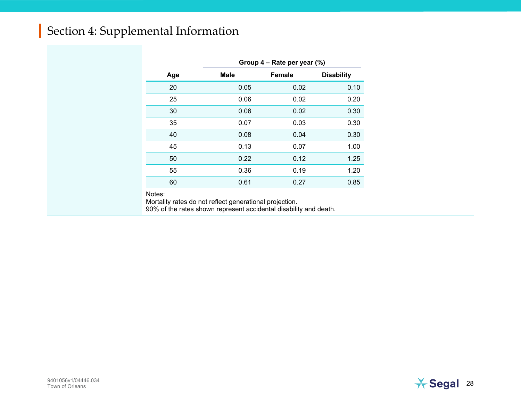|     | Group 4 – Rate per year (%) |               |                   |  |  |  |  |
|-----|-----------------------------|---------------|-------------------|--|--|--|--|
| Age | <b>Male</b>                 | <b>Female</b> | <b>Disability</b> |  |  |  |  |
| 20  | 0.05                        | 0.02          | 0.10              |  |  |  |  |
| 25  | 0.06                        | 0.02          | 0.20              |  |  |  |  |
| 30  | 0.06                        | 0.02          | 0.30              |  |  |  |  |
| 35  | 0.07                        | 0.03          | 0.30              |  |  |  |  |
| 40  | 0.08                        | 0.04          | 0.30              |  |  |  |  |
| 45  | 0.13                        | 0.07          | 1.00              |  |  |  |  |
| 50  | 0.22                        | 0.12          | 1.25              |  |  |  |  |
| 55  | 0.36                        | 0.19          | 1.20              |  |  |  |  |
| 60  | 0.61                        | 0.27          | 0.85              |  |  |  |  |

Notes:

Mortality rates do not reflect generational projection.

90% of the rates shown represent accidental disability and death.

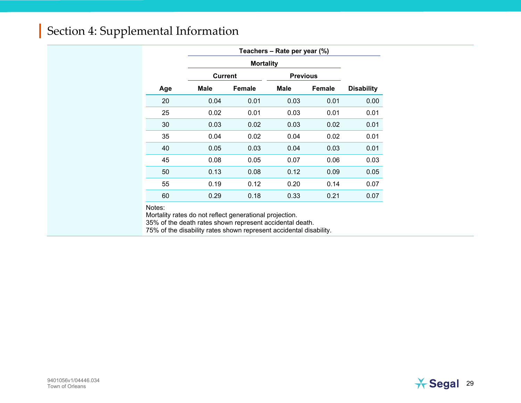|     |                | <b>Mortality</b> |      |                 |                   |  |  |  |  |
|-----|----------------|------------------|------|-----------------|-------------------|--|--|--|--|
|     | <b>Current</b> |                  |      | <b>Previous</b> |                   |  |  |  |  |
| Age | Male           | Female           | Male | <b>Female</b>   | <b>Disability</b> |  |  |  |  |
| 20  | 0.04           | 0.01             | 0.03 | 0.01            | 0.00              |  |  |  |  |
| 25  | 0.02           | 0.01             | 0.03 | 0.01            | 0.01              |  |  |  |  |
| 30  | 0.03           | 0.02             | 0.03 | 0.02            | 0.01              |  |  |  |  |
| 35  | 0.04           | 0.02             | 0.04 | 0.02            | 0.01              |  |  |  |  |
| 40  | 0.05           | 0.03             | 0.04 | 0.03            | 0.01              |  |  |  |  |
| 45  | 0.08           | 0.05             | 0.07 | 0.06            | 0.03              |  |  |  |  |
| 50  | 0.13           | 0.08             | 0.12 | 0.09            | 0.05              |  |  |  |  |
| 55  | 0.19           | 0.12             | 0.20 | 0.14            | 0.07              |  |  |  |  |
| 60  | 0.29           | 0.18             | 0.33 | 0.21            | 0.07              |  |  |  |  |

Notes:

Mortality rates do not reflect generational projection.

35% of the death rates shown represent accidental death.

75% of the disability rates shown represent accidental disability.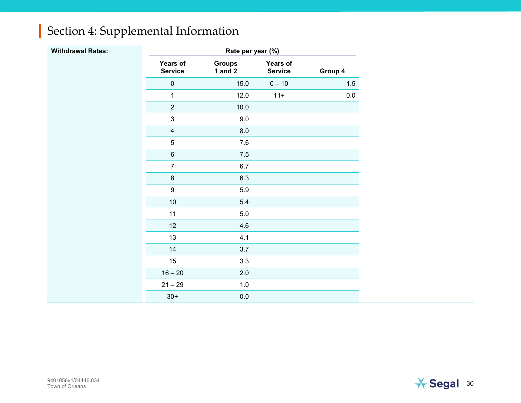| <b>Withdrawal Rates:</b> |                                   | Rate per year (%)          |                            |         |
|--------------------------|-----------------------------------|----------------------------|----------------------------|---------|
|                          | <b>Years of</b><br><b>Service</b> | <b>Groups</b><br>1 and $2$ | Years of<br><b>Service</b> | Group 4 |
|                          | $\pmb{0}$                         | 15.0                       | $0 - 10$                   | 1.5     |
|                          | $\mathbf{1}$                      | 12.0                       | $11 +$                     | 0.0     |
|                          | $\sqrt{2}$                        | 10.0                       |                            |         |
|                          | $\ensuremath{\mathsf{3}}$         | $9.0\,$                    |                            |         |
|                          | $\overline{\mathbf{4}}$           | $8.0\,$                    |                            |         |
|                          | $\,$ 5 $\,$                       | 7.6                        |                            |         |
|                          | $\,6\,$                           | $7.5\,$                    |                            |         |
|                          | $\overline{7}$                    | $6.7\,$                    |                            |         |
|                          | $\bf 8$                           | 6.3                        |                            |         |
|                          | $\boldsymbol{9}$                  | 5.9                        |                            |         |
|                          | $10\,$                            | 5.4                        |                            |         |
|                          | 11                                | $5.0\,$                    |                            |         |
|                          | 12                                | 4.6                        |                            |         |
|                          | 13                                | 4.1                        |                            |         |
|                          | 14                                | 3.7                        |                            |         |
|                          | 15                                | 3.3                        |                            |         |
|                          | $16 - 20$                         | 2.0                        |                            |         |
|                          | $21 - 29$                         | $1.0\,$                    |                            |         |
|                          | $30+$                             | $0.0\,$                    |                            |         |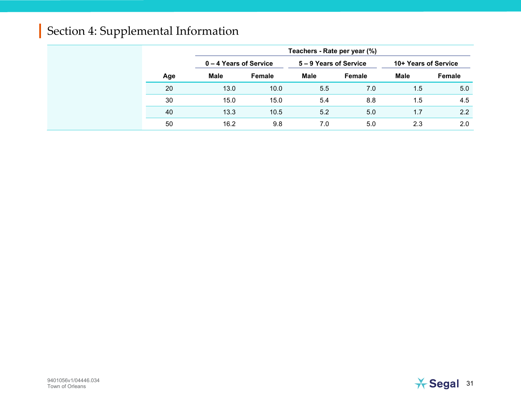|     | Teachers - Rate per year (%) |        |                        |        |                      |        |  |
|-----|------------------------------|--------|------------------------|--------|----------------------|--------|--|
|     | 0 – 4 Years of Service       |        | 5 – 9 Years of Service |        | 10+ Years of Service |        |  |
| Age | Male                         | Female | <b>Male</b>            | Female | <b>Male</b>          | Female |  |
| 20  | 13.0                         | 10.0   | 5.5                    | 7.0    | $1.5\,$              | 5.0    |  |
| 30  | 15.0                         | 15.0   | 5.4                    | 8.8    | 1.5                  | 4.5    |  |
| 40  | 13.3                         | 10.5   | 5.2                    | 5.0    | 1.7                  | 2.2    |  |
| 50  | 16.2                         | 9.8    | 7.0                    | 5.0    | 2.3                  | 2.0    |  |

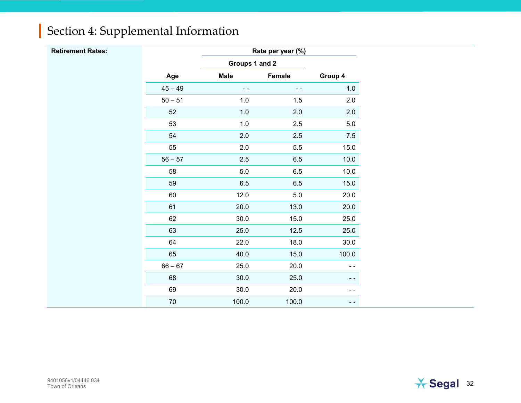| <b>Retirement Rates:</b> |           | Rate per year (%) |               |               |  |  |
|--------------------------|-----------|-------------------|---------------|---------------|--|--|
|                          |           | Groups 1 and 2    |               |               |  |  |
|                          | Age       | <b>Male</b>       | Female        | Group 4       |  |  |
|                          | $45 - 49$ | $\sim$ $\sim$     | $\sim$ $\sim$ | 1.0           |  |  |
|                          | $50 - 51$ | 1.0               | $1.5$         | 2.0           |  |  |
|                          | 52        | $1.0\,$           | $2.0\,$       | 2.0           |  |  |
|                          | 53        | $1.0$             | $2.5\,$       | $5.0\,$       |  |  |
|                          | 54        | 2.0               | $2.5\,$       | 7.5           |  |  |
|                          | 55        | 2.0               | $5.5\,$       | 15.0          |  |  |
|                          | $56 - 57$ | 2.5               | $6.5\,$       | 10.0          |  |  |
|                          | 58        | 5.0               | $6.5\,$       | 10.0          |  |  |
|                          | 59        | 6.5               | $6.5\,$       | 15.0          |  |  |
|                          | 60        | 12.0              | $5.0\,$       | 20.0          |  |  |
|                          | 61        | 20.0              | 13.0          | 20.0          |  |  |
|                          | 62        | 30.0              | 15.0          | 25.0          |  |  |
|                          | 63        | 25.0              | 12.5          | 25.0          |  |  |
|                          | 64        | 22.0              | 18.0          | 30.0          |  |  |
|                          | 65        | 40.0              | 15.0          | 100.0         |  |  |
|                          | $66 - 67$ | 25.0              | 20.0          | $\sim$ $\sim$ |  |  |
|                          | 68        | 30.0              | 25.0          |               |  |  |
|                          | 69        | 30.0              | 20.0          | - -           |  |  |
|                          | $70\,$    | 100.0             | 100.0         | - -           |  |  |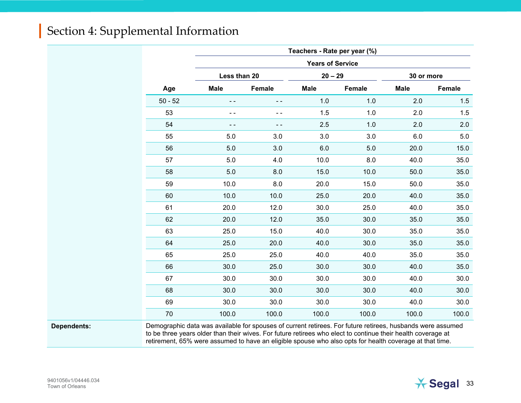|           | Teachers - Rate per year (%) |        |             |        |             |               |  |  |
|-----------|------------------------------|--------|-------------|--------|-------------|---------------|--|--|
|           | <b>Years of Service</b>      |        |             |        |             |               |  |  |
|           | Less than 20                 |        | $20 - 29$   |        | 30 or more  |               |  |  |
| Age       | <b>Male</b>                  | Female | <b>Male</b> | Female | <b>Male</b> | <b>Female</b> |  |  |
| $50 - 52$ |                              | ٠.     | 1.0         | 1.0    | 2.0         | 1.5           |  |  |
| 53        | - -                          | - -    | 1.5         | 1.0    | 2.0         | 1.5           |  |  |
| 54        |                              | - -    | 2.5         | 1.0    | 2.0         | 2.0           |  |  |
| 55        | 5.0                          | 3.0    | 3.0         | 3.0    | 6.0         | 5.0           |  |  |
| 56        | 5.0<br>3.0                   |        | 6.0         | 5.0    | 20.0        | 15.0          |  |  |
| 57        | 5.0<br>4.0                   |        | 10.0        | 8.0    | 40.0        | 35.0          |  |  |
| 58        | 8.0<br>5.0                   |        | 15.0        | 10.0   | 50.0        | 35.0          |  |  |
| 59        | 10.0                         | 8.0    |             | 15.0   | 50.0        | 35.0          |  |  |
| 60        | 10.0                         | 10.0   | 25.0        | 20.0   | 40.0        | 35.0          |  |  |
| 61        | 20.0                         | 12.0   | 30.0        | 25.0   | 40.0        | 35.0          |  |  |
| 62        | 20.0                         | 12.0   | 35.0        | 30.0   | 35.0        | 35.0          |  |  |
| 63        | 25.0                         | 15.0   | 40.0        | 30.0   | 35.0        | 35.0          |  |  |
| 64        | 25.0                         | 20.0   | 40.0        | 30.0   | 35.0        | 35.0          |  |  |
| 65        | 25.0                         | 25.0   | 40.0        | 40.0   | 35.0        | 35.0          |  |  |
| 66        | 30.0                         | 25.0   | 30.0        | 30.0   | 40.0        | 35.0          |  |  |
| 67        | 30.0                         | 30.0   | 30.0        | 30.0   | 40.0        | 30.0          |  |  |
| 68        | 30.0                         | 30.0   | 30.0        | 30.0   | 40.0        | 30.0          |  |  |
| 69        | 30.0                         | 30.0   | 30.0        | 30.0   | 40.0        | 30.0          |  |  |
| 70        | 100.0                        | 100.0  | 100.0       | 100.0  | 100.0       | 100.0         |  |  |

**Dependents:** Demographic data was available for spouses of current retirees. For future retirees, husbands were assumed to be three years older than their wives. For future retirees who elect to continue their health coverage at retirement, 65% were assumed to have an eligible spouse who also opts for health coverage at that time.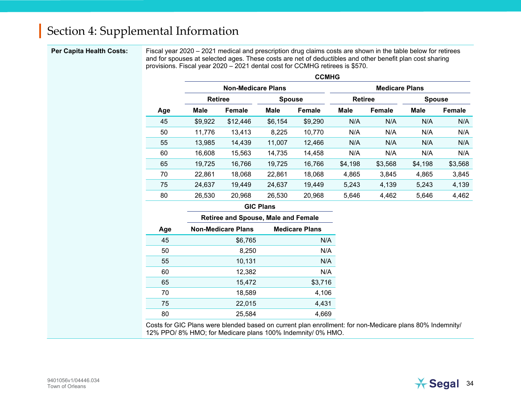**Per Capita Health Costs:** Fiscal year 2020 – 2021 medical and prescription drug claims costs are shown in the table below for retirees and for spouses at selected ages. These costs are net of deductibles and other benefit plan cost sharing provisions. Fiscal year 2020 – 2021 dental cost for CCMHG retirees is \$570.

|     | <b>CCMHG</b>              |          |               |               |                       |         |               |         |  |  |  |
|-----|---------------------------|----------|---------------|---------------|-----------------------|---------|---------------|---------|--|--|--|
|     | <b>Non-Medicare Plans</b> |          |               |               | <b>Medicare Plans</b> |         |               |         |  |  |  |
|     | <b>Retiree</b>            |          | <b>Spouse</b> |               | <b>Retiree</b>        |         | <b>Spouse</b> |         |  |  |  |
| Age | Male                      | Female   | <b>Male</b>   | <b>Female</b> | <b>Male</b>           | Female  | <b>Male</b>   | Female  |  |  |  |
| 45  | \$9,922                   | \$12,446 | \$6,154       | \$9,290       | N/A                   | N/A     | N/A           | N/A     |  |  |  |
| 50  | 11,776                    | 13,413   | 8,225         | 10,770        | N/A                   | N/A     | N/A           | N/A     |  |  |  |
| 55  | 13,985                    | 14,439   | 11,007        | 12,466        | N/A                   | N/A     | N/A           | N/A     |  |  |  |
| 60  | 16,608                    | 15,563   | 14,735        | 14,458        | N/A                   | N/A     | N/A           | N/A     |  |  |  |
| 65  | 19,725                    | 16,766   | 19,725        | 16,766        | \$4,198               | \$3,568 | \$4,198       | \$3,568 |  |  |  |
| 70  | 22,861                    | 18,068   | 22,861        | 18,068        | 4,865                 | 3,845   | 4,865         | 3,845   |  |  |  |
| 75  | 24,637                    | 19,449   | 24,637        | 19,449        | 5,243                 | 4,139   | 5,243         | 4,139   |  |  |  |
| 80  | 26,530                    | 20,968   | 26,530        | 20,968        | 5,646                 | 4,462   | 5,646         | 4,462   |  |  |  |

#### **GIC Plans**

|     | <b>Retiree and Spouse, Male and Female</b> |                       |  |  |  |  |
|-----|--------------------------------------------|-----------------------|--|--|--|--|
| Age | <b>Non-Medicare Plans</b>                  | <b>Medicare Plans</b> |  |  |  |  |
| 45  | \$6,765                                    | N/A                   |  |  |  |  |
| 50  | 8,250                                      | N/A                   |  |  |  |  |
| 55  | 10,131                                     | N/A                   |  |  |  |  |
| 60  | 12,382                                     | N/A                   |  |  |  |  |
| 65  | 15,472                                     | \$3,716               |  |  |  |  |
| 70  | 18,589                                     | 4,106                 |  |  |  |  |
| 75  | 22,015                                     | 4,431                 |  |  |  |  |
| 80  | 25.584                                     | 4.669                 |  |  |  |  |

Costs for GIC Plans were blended based on current plan enrollment: for non-Medicare plans 80% Indemnity/ 12% PPO/ 8% HMO; for Medicare plans 100% Indemnity/ 0% HMO.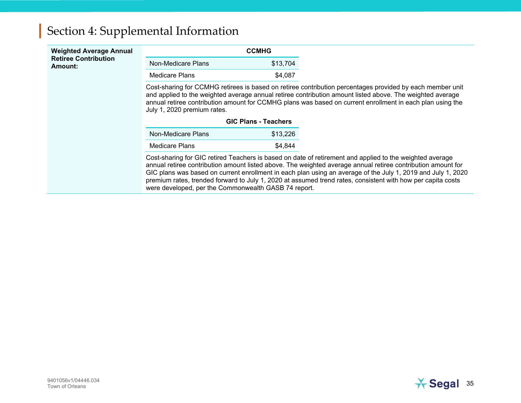| <b>Weighted Average Annual</b>         |                                                                                                                                                                                                                                                                                                                                                                                                                                                                                                                 | <b>CCMHG</b>                |  |  |  |  |
|----------------------------------------|-----------------------------------------------------------------------------------------------------------------------------------------------------------------------------------------------------------------------------------------------------------------------------------------------------------------------------------------------------------------------------------------------------------------------------------------------------------------------------------------------------------------|-----------------------------|--|--|--|--|
| <b>Retiree Contribution</b><br>Amount: | Non-Medicare Plans                                                                                                                                                                                                                                                                                                                                                                                                                                                                                              | \$13,704                    |  |  |  |  |
|                                        | Medicare Plans<br>\$4,087                                                                                                                                                                                                                                                                                                                                                                                                                                                                                       |                             |  |  |  |  |
|                                        | Cost-sharing for CCMHG retirees is based on retiree contribution percentages provided by each member unit<br>and applied to the weighted average annual retiree contribution amount listed above. The weighted average<br>annual retiree contribution amount for CCMHG plans was based on current enrollment in each plan using the<br>July 1, 2020 premium rates.                                                                                                                                              |                             |  |  |  |  |
|                                        |                                                                                                                                                                                                                                                                                                                                                                                                                                                                                                                 | <b>GIC Plans - Teachers</b> |  |  |  |  |
|                                        | Non-Medicare Plans                                                                                                                                                                                                                                                                                                                                                                                                                                                                                              | \$13,226                    |  |  |  |  |
|                                        | Medicare Plans                                                                                                                                                                                                                                                                                                                                                                                                                                                                                                  | \$4,844                     |  |  |  |  |
|                                        | Cost-sharing for GIC retired Teachers is based on date of retirement and applied to the weighted average<br>annual retiree contribution amount listed above. The weighted average annual retiree contribution amount for<br>GIC plans was based on current enrollment in each plan using an average of the July 1, 2019 and July 1, 2020<br>premium rates, trended forward to July 1, 2020 at assumed trend rates, consistent with how per capita costs<br>were developed, per the Commonwealth GASB 74 report. |                             |  |  |  |  |

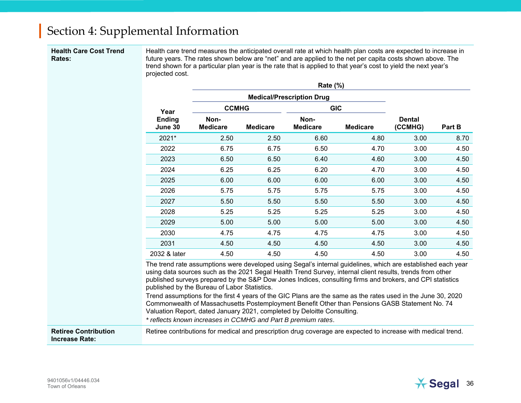#### **Health Care Cost Trend Rates:**

Health care trend measures the anticipated overall rate at which health plan costs are expected to increase in future years. The rates shown below are "net" and are applied to the net per capita costs shown above. The trend shown for a particular plan year is the rate that is applied to that year's cost to yield the next year's projected cost.

|                          |                         | Rate (%)        |                                  |                                                                                                                                                                                                                                                                                                                                                                           |        |      |  |
|--------------------------|-------------------------|-----------------|----------------------------------|---------------------------------------------------------------------------------------------------------------------------------------------------------------------------------------------------------------------------------------------------------------------------------------------------------------------------------------------------------------------------|--------|------|--|
|                          |                         |                 | <b>Medical/Prescription Drug</b> |                                                                                                                                                                                                                                                                                                                                                                           |        |      |  |
| Year                     | <b>CCMHG</b>            |                 |                                  |                                                                                                                                                                                                                                                                                                                                                                           |        |      |  |
| <b>Ending</b><br>June 30 | Non-<br><b>Medicare</b> | <b>Medicare</b> | Non-<br><b>Medicare</b>          | <b>GIC</b><br><b>Dental</b><br><b>Medicare</b><br>(CCMHG)<br>4.80<br>3.00<br>4.70<br>3.00<br>3.00<br>4.60<br>4.70<br>3.00<br>6.00<br>3.00<br>3.00<br>5.75<br>3.00<br>5.50<br>5.25<br>3.00<br>5.00<br>3.00<br>3.00<br>4.75<br>4.50<br>3.00<br>4.50<br>3.00<br>The trend rate assumptions were developed using Segal's internal guidelines, which are established each year | Part B |      |  |
| 2021*                    | 2.50                    | 2.50            | 6.60                             |                                                                                                                                                                                                                                                                                                                                                                           |        | 8.70 |  |
| 2022                     | 6.75                    | 6.75            | 6.50                             |                                                                                                                                                                                                                                                                                                                                                                           |        | 4.50 |  |
| 2023                     | 6.50                    | 6.50            | 6.40                             |                                                                                                                                                                                                                                                                                                                                                                           |        | 4.50 |  |
| 2024                     | 6.25                    | 6.25            | 6.20                             |                                                                                                                                                                                                                                                                                                                                                                           |        | 4.50 |  |
| 2025                     | 6.00                    | 6.00            | 6.00                             |                                                                                                                                                                                                                                                                                                                                                                           |        | 4.50 |  |
| 2026                     | 5.75                    | 5.75            | 5.75                             |                                                                                                                                                                                                                                                                                                                                                                           |        | 4.50 |  |
| 2027                     | 5.50                    | 5.50            | 5.50                             |                                                                                                                                                                                                                                                                                                                                                                           |        | 4.50 |  |
| 2028                     | 5.25                    | 5.25            | 5.25                             |                                                                                                                                                                                                                                                                                                                                                                           |        | 4.50 |  |
| 2029                     | 5.00                    | 5.00            | 5.00                             |                                                                                                                                                                                                                                                                                                                                                                           |        | 4.50 |  |
| 2030                     | 4.75                    | 4.75            | 4.75                             |                                                                                                                                                                                                                                                                                                                                                                           |        | 4.50 |  |
| 2031                     | 4.50                    | 4.50            | 4.50                             |                                                                                                                                                                                                                                                                                                                                                                           |        | 4.50 |  |
| 2032 & later             | 4.50                    | 4.50            | 4.50                             |                                                                                                                                                                                                                                                                                                                                                                           |        | 4.50 |  |

Trend assumptions for the first 4 years of the GIC Plans are the same as the rates used in the June 30, 2020 Commonwealth of Massachusetts Postemployment Benefit Other than Pensions GASB Statement No. 74 Valuation Report, dated January 2021, completed by Deloitte Consulting.

*\* reflects known increases in CCMHG and Part B premium rates*.

**Retiree Contribution Increase Rate:** Retiree contributions for medical and prescription drug coverage are expected to increase with medical trend.

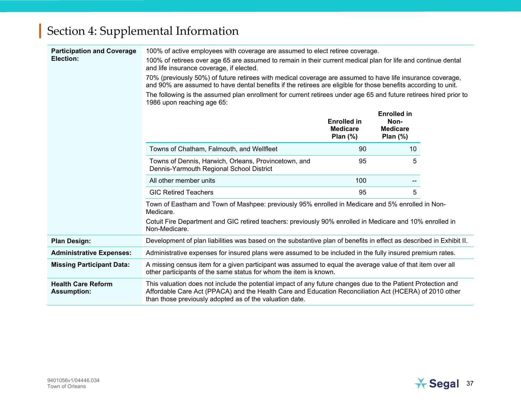| <b>Participation and Coverage</b><br>Election:  | 100% of active employees with coverage are assumed to elect retiree coverage.<br>100% of retirees over age 65 are assumed to remain in their current medical plan for life and continue dental<br>and life insurance coverage, if elected.<br>70% (previously 50%) of future retirees with medical coverage are assumed to have life insurance coverage,<br>and 90% are assumed to have dental benefits if the retirees are eligible for those benefits according to unit.<br>The following is the assumed plan enrollment for current retirees under age 65 and future retirees hired prior to<br>1986 upon reaching age 65: |                                                     |                                                              |  |  |  |  |  |
|-------------------------------------------------|-------------------------------------------------------------------------------------------------------------------------------------------------------------------------------------------------------------------------------------------------------------------------------------------------------------------------------------------------------------------------------------------------------------------------------------------------------------------------------------------------------------------------------------------------------------------------------------------------------------------------------|-----------------------------------------------------|--------------------------------------------------------------|--|--|--|--|--|
|                                                 |                                                                                                                                                                                                                                                                                                                                                                                                                                                                                                                                                                                                                               | <b>Enrolled in</b><br><b>Medicare</b><br>Plan $(%)$ | <b>Enrolled in</b><br>Non-<br><b>Medicare</b><br>Plan $(\%)$ |  |  |  |  |  |
|                                                 | Towns of Chatham, Falmouth, and Wellfleet                                                                                                                                                                                                                                                                                                                                                                                                                                                                                                                                                                                     | 90                                                  | 10                                                           |  |  |  |  |  |
|                                                 | Towns of Dennis, Harwich, Orleans, Provincetown, and<br>Dennis-Yarmouth Regional School District                                                                                                                                                                                                                                                                                                                                                                                                                                                                                                                              | 95                                                  | 5                                                            |  |  |  |  |  |
|                                                 | All other member units                                                                                                                                                                                                                                                                                                                                                                                                                                                                                                                                                                                                        | 100                                                 |                                                              |  |  |  |  |  |
|                                                 | <b>GIC Retired Teachers</b>                                                                                                                                                                                                                                                                                                                                                                                                                                                                                                                                                                                                   | 95                                                  | 5                                                            |  |  |  |  |  |
|                                                 | Town of Eastham and Town of Mashpee: previously 95% enrolled in Medicare and 5% enrolled in Non-<br>Medicare.                                                                                                                                                                                                                                                                                                                                                                                                                                                                                                                 |                                                     |                                                              |  |  |  |  |  |
|                                                 | Cotuit Fire Department and GIC retired teachers: previously 90% enrolled in Medicare and 10% enrolled in<br>Non-Medicare.                                                                                                                                                                                                                                                                                                                                                                                                                                                                                                     |                                                     |                                                              |  |  |  |  |  |
| <b>Plan Design:</b>                             | Development of plan liabilities was based on the substantive plan of benefits in effect as described in Exhibit II.                                                                                                                                                                                                                                                                                                                                                                                                                                                                                                           |                                                     |                                                              |  |  |  |  |  |
| <b>Administrative Expenses:</b>                 | Administrative expenses for insured plans were assumed to be included in the fully insured premium rates.                                                                                                                                                                                                                                                                                                                                                                                                                                                                                                                     |                                                     |                                                              |  |  |  |  |  |
| <b>Missing Participant Data:</b>                | A missing census item for a given participant was assumed to equal the average value of that item over all<br>other participants of the same status for whom the item is known.                                                                                                                                                                                                                                                                                                                                                                                                                                               |                                                     |                                                              |  |  |  |  |  |
| <b>Health Care Reform</b><br><b>Assumption:</b> | This valuation does not include the potential impact of any future changes due to the Patient Protection and<br>Affordable Care Act (PPACA) and the Health Care and Education Reconciliation Act (HCERA) of 2010 other<br>than those previously adopted as of the valuation date.                                                                                                                                                                                                                                                                                                                                             |                                                     |                                                              |  |  |  |  |  |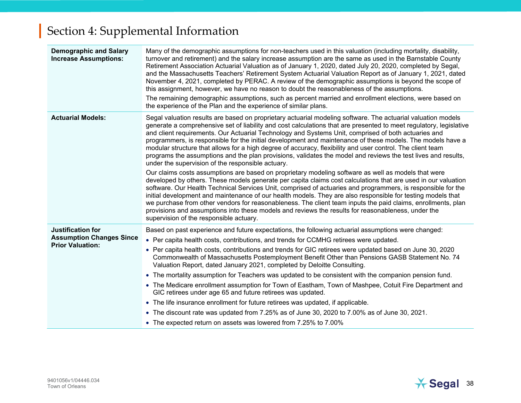| <b>Demographic and Salary</b><br><b>Increase Assumptions:</b>                   | Many of the demographic assumptions for non-teachers used in this valuation (including mortality, disability,<br>turnover and retirement) and the salary increase assumption are the same as used in the Barnstable County<br>Retirement Association Actuarial Valuation as of January 1, 2020, dated July 20, 2020, completed by Segal,<br>and the Massachusetts Teachers' Retirement System Actuarial Valuation Report as of January 1, 2021, dated<br>November 4, 2021, completed by PERAC. A review of the demographic assumptions is beyond the scope of<br>this assignment, however, we have no reason to doubt the reasonableness of the assumptions.<br>The remaining demographic assumptions, such as percent married and enrollment elections, were based on<br>the experience of the Plan and the experience of similar plans.                                                                                                                                                                                                                                                                                                                                                                                                                                                                                                                                                                                                                           |
|---------------------------------------------------------------------------------|---------------------------------------------------------------------------------------------------------------------------------------------------------------------------------------------------------------------------------------------------------------------------------------------------------------------------------------------------------------------------------------------------------------------------------------------------------------------------------------------------------------------------------------------------------------------------------------------------------------------------------------------------------------------------------------------------------------------------------------------------------------------------------------------------------------------------------------------------------------------------------------------------------------------------------------------------------------------------------------------------------------------------------------------------------------------------------------------------------------------------------------------------------------------------------------------------------------------------------------------------------------------------------------------------------------------------------------------------------------------------------------------------------------------------------------------------------------------|
| <b>Actuarial Models:</b>                                                        | Segal valuation results are based on proprietary actuarial modeling software. The actuarial valuation models<br>generate a comprehensive set of liability and cost calculations that are presented to meet regulatory, legislative<br>and client requirements. Our Actuarial Technology and Systems Unit, comprised of both actuaries and<br>programmers, is responsible for the initial development and maintenance of these models. The models have a<br>modular structure that allows for a high degree of accuracy, flexibility and user control. The client team<br>programs the assumptions and the plan provisions, validates the model and reviews the test lives and results,<br>under the supervision of the responsible actuary.<br>Our claims costs assumptions are based on proprietary modeling software as well as models that were<br>developed by others. These models generate per capita claims cost calculations that are used in our valuation<br>software. Our Health Technical Services Unit, comprised of actuaries and programmers, is responsible for the<br>initial development and maintenance of our health models. They are also responsible for testing models that<br>we purchase from other vendors for reasonableness. The client team inputs the paid claims, enrollments, plan<br>provisions and assumptions into these models and reviews the results for reasonableness, under the<br>supervision of the responsible actuary. |
| Justification for<br><b>Assumption Changes Since</b><br><b>Prior Valuation:</b> | Based on past experience and future expectations, the following actuarial assumptions were changed:<br>• Per capita health costs, contributions, and trends for CCMHG retirees were updated.<br>• Per capita health costs, contributions and trends for GIC retirees were updated based on June 30, 2020<br>Commonwealth of Massachusetts Postemployment Benefit Other than Pensions GASB Statement No. 74<br>Valuation Report, dated January 2021, completed by Deloitte Consulting.<br>• The mortality assumption for Teachers was updated to be consistent with the companion pension fund.<br>• The Medicare enrollment assumption for Town of Eastham, Town of Mashpee, Cotuit Fire Department and<br>GIC retirees under age 65 and future retirees was updated.<br>• The life insurance enrollment for future retirees was updated, if applicable.<br>• The discount rate was updated from 7.25% as of June 30, 2020 to 7.00% as of June 30, 2021.<br>• The expected return on assets was lowered from 7.25% to 7.00%                                                                                                                                                                                                                                                                                                                                                                                                                                         |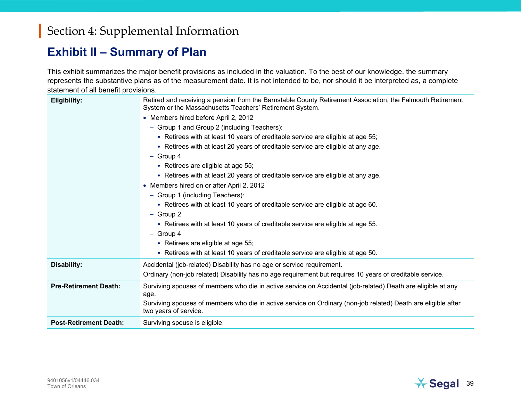#### **Exhibit II – Summary of Plan**

This exhibit summarizes the major benefit provisions as included in the valuation. To the best of our knowledge, the summary represents the substantive plans as of the measurement date. It is not intended to be, nor should it be interpreted as, a complete statement of all benefit provisions.

| <b>Eligibility:</b>           | Retired and receiving a pension from the Barnstable County Retirement Association, the Falmouth Retirement<br>System or the Massachusetts Teachers' Retirement System.<br>• Members hired before April 2, 2012<br>- Group 1 and Group 2 (including Teachers):<br>• Retirees with at least 10 years of creditable service are eligible at age 55;<br>• Retirees with at least 20 years of creditable service are eligible at any age.<br>$-$ Group 4<br>• Retirees are eligible at age 55;<br>• Retirees with at least 20 years of creditable service are eligible at any age.<br>• Members hired on or after April 2, 2012<br>- Group 1 (including Teachers):<br>• Retirees with at least 10 years of creditable service are eligible at age 60.<br>$-$ Group 2<br>• Retirees with at least 10 years of creditable service are eligible at age 55.<br>$-$ Group 4<br>• Retirees are eligible at age 55;<br>• Retirees with at least 10 years of creditable service are eligible at age 50. |
|-------------------------------|--------------------------------------------------------------------------------------------------------------------------------------------------------------------------------------------------------------------------------------------------------------------------------------------------------------------------------------------------------------------------------------------------------------------------------------------------------------------------------------------------------------------------------------------------------------------------------------------------------------------------------------------------------------------------------------------------------------------------------------------------------------------------------------------------------------------------------------------------------------------------------------------------------------------------------------------------------------------------------------------|
| Disability:                   | Accidental (job-related) Disability has no age or service requirement.<br>Ordinary (non-job related) Disability has no age requirement but requires 10 years of creditable service.                                                                                                                                                                                                                                                                                                                                                                                                                                                                                                                                                                                                                                                                                                                                                                                                        |
| <b>Pre-Retirement Death:</b>  | Surviving spouses of members who die in active service on Accidental (job-related) Death are eligible at any<br>age.<br>Surviving spouses of members who die in active service on Ordinary (non-job related) Death are eligible after<br>two years of service.                                                                                                                                                                                                                                                                                                                                                                                                                                                                                                                                                                                                                                                                                                                             |
| <b>Post-Retirement Death:</b> | Surviving spouse is eligible.                                                                                                                                                                                                                                                                                                                                                                                                                                                                                                                                                                                                                                                                                                                                                                                                                                                                                                                                                              |

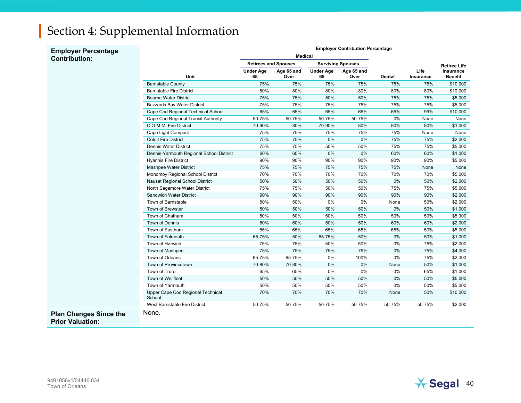| <b>Employer Percentage</b>                               | <b>Employer Contribution Percentage</b>     |                                                         |                    |                        |                    |        |                   |                             |  |
|----------------------------------------------------------|---------------------------------------------|---------------------------------------------------------|--------------------|------------------------|--------------------|--------|-------------------|-----------------------------|--|
| <b>Contribution:</b>                                     | <b>Medical</b>                              |                                                         |                    |                        |                    |        |                   |                             |  |
|                                                          |                                             | <b>Retirees and Spouses</b><br><b>Surviving Spouses</b> |                    |                        |                    |        |                   | <b>Retiree Life</b>         |  |
|                                                          | <b>Unit</b>                                 | <b>Under Age</b><br>65                                  | Age 65 and<br>Over | <b>Under Age</b><br>65 | Age 65 and<br>Over | Dental | Life<br>Insurance | Insurance<br><b>Benefit</b> |  |
|                                                          | <b>Barnstable County</b>                    | 75%                                                     | 75%                | 75%                    | 75%                | 75%    | 75%               | \$10,000                    |  |
|                                                          | <b>Barnstable Fire District</b>             | 80%                                                     | 80%                | 80%                    | 80%                | 80%    | 80%               | \$10,000                    |  |
|                                                          | <b>Bourne Water District</b>                | 75%                                                     | 75%                | 50%                    | 50%                | 75%    | 75%               | \$5,000                     |  |
|                                                          | <b>Buzzards Bay Water District</b>          | 75%                                                     | 75%                | 75%                    | 75%                | 75%    | 75%               | \$5,000                     |  |
|                                                          | Cape Cod Regional Technical School          | 65%                                                     | 65%                | 65%                    | 65%                | 65%    | 99%               | \$10,000                    |  |
|                                                          | Cape Cod Regional Transit Authority         | 50-75%                                                  | 50-75%             | 50-75%                 | 50-75%             | 0%     | None              | None                        |  |
|                                                          | C.O.M.M. Fire District                      | 70-90%                                                  | 80%                | 70-90%                 | 80%                | 80%    | 80%               | \$1,000                     |  |
|                                                          | Cape Light Compact                          | 75%                                                     | 75%                | 75%                    | 75%                | 75%    | None              | None                        |  |
|                                                          | <b>Cotuit Fire District</b>                 | 75%                                                     | 75%                | 0%                     | 0%                 | 75%    | 75%               | \$2,000                     |  |
|                                                          | Dennis Water District                       | 75%                                                     | 75%                | 50%                    | 50%                | 75%    | 75%               | \$5,000                     |  |
|                                                          | Dennis-Yarmouth Regional School District    | 60%                                                     | 60%                | 0%                     | 0%                 | 60%    | 60%               | \$1,000                     |  |
|                                                          | <b>Hyannis Fire District</b>                | 90%                                                     | 90%                | 90%                    | 90%                | 90%    | 90%               | \$5,000                     |  |
|                                                          | Mashpee Water District                      | 75%                                                     | 75%                | 75%                    | 75%                | 75%    | None              | None                        |  |
|                                                          | Monomoy Regional School District            | 70%                                                     | 70%                | 70%                    | 70%                | 70%    | 70%               | \$5,000                     |  |
|                                                          | Nauset Regional School District             | 50%                                                     | 50%                | 50%                    | 50%                | 0%     | 50%               | \$2,000                     |  |
|                                                          | North Sagamore Water District               | 75%                                                     | 75%                | 50%                    | 50%                | 75%    | 75%               | \$5,000                     |  |
|                                                          | Sandwich Water District                     | 90%                                                     | 90%                | 90%                    | 90%                | 90%    | 90%               | \$2,000                     |  |
|                                                          | Town of Barnstable                          | 50%                                                     | 50%                | 0%                     | 0%                 | None   | 50%               | \$2,000                     |  |
|                                                          | Town of Brewster                            | 50%                                                     | 50%                | 50%                    | 50%                | 0%     | 50%               | \$1,000                     |  |
|                                                          | Town of Chatham                             | 50%                                                     | 50%                | 50%                    | 50%                | 50%    | 50%               | \$5,000                     |  |
|                                                          | Town of Dennis                              | 60%                                                     | 60%                | 50%                    | 50%                | 60%    | 60%               | \$2,000                     |  |
|                                                          | Town of Eastham                             | 65%                                                     | 65%                | 65%                    | 65%                | 65%    | 50%               | \$5,000                     |  |
|                                                          | Town of Falmouth                            | 65-75%                                                  | 50%                | 65-75%                 | 50%                | 0%     | 50%               | \$1,000                     |  |
|                                                          | Town of Harwich                             | 75%                                                     | 75%                | 50%                    | 50%                | 0%     | 75%               | \$2,000                     |  |
|                                                          | Town of Mashpee                             | 75%                                                     | 75%                | 75%                    | 75%                | 0%     | 75%               | \$4,000                     |  |
|                                                          | Town of Orleans                             | 65-75%                                                  | 65-75%             | 0%                     | 100%               | 0%     | 75%               | \$2,000                     |  |
|                                                          | Town of Provincetown                        | 70-80%                                                  | 70-80%             | 0%                     | 0%                 | None   | 50%               | \$1,000                     |  |
|                                                          | Town of Truro                               | 65%                                                     | 65%                | 0%                     | 0%                 | 0%     | 65%               | \$1,000                     |  |
|                                                          | Town of Wellfleet                           | 50%                                                     | 50%                | 50%                    | 50%                | 0%     | 50%               | \$5,000                     |  |
|                                                          | Town of Yarmouth                            | 50%                                                     | 50%                | 50%                    | 50%                | 0%     | 50%               | \$5,000                     |  |
|                                                          | Upper Cape Cod Regional Technical<br>School | 70%                                                     | 70%                | 70%                    | 70%                | None   | 50%               | \$10,000                    |  |
|                                                          | West Barnstable Fire District               | 50-75%                                                  | 50-75%             | 50-75%                 | 50-75%             | 50-75% | 50-75%            | \$2,000                     |  |
| <b>Plan Changes Since the</b><br><b>Prior Valuation:</b> | None.                                       |                                                         |                    |                        |                    |        |                   |                             |  |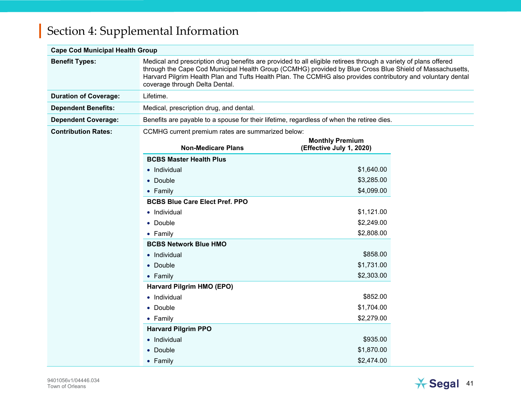#### **Cape Cod Municipal Health Group**

| <b>Benefit Types:</b>        | Medical and prescription drug benefits are provided to all eligible retirees through a variety of plans offered<br>through the Cape Cod Municipal Health Group (CCMHG) provided by Blue Cross Blue Shield of Massachusetts,<br>Harvard Pilgrim Health Plan and Tufts Health Plan. The CCMHG also provides contributory and voluntary dental<br>coverage through Delta Dental. |                                                    |  |
|------------------------------|-------------------------------------------------------------------------------------------------------------------------------------------------------------------------------------------------------------------------------------------------------------------------------------------------------------------------------------------------------------------------------|----------------------------------------------------|--|
| <b>Duration of Coverage:</b> | Lifetime.                                                                                                                                                                                                                                                                                                                                                                     |                                                    |  |
| <b>Dependent Benefits:</b>   | Medical, prescription drug, and dental.                                                                                                                                                                                                                                                                                                                                       |                                                    |  |
| <b>Dependent Coverage:</b>   | Benefits are payable to a spouse for their lifetime, regardless of when the retiree dies.                                                                                                                                                                                                                                                                                     |                                                    |  |
| <b>Contribution Rates:</b>   | CCMHG current premium rates are summarized below:                                                                                                                                                                                                                                                                                                                             |                                                    |  |
|                              | <b>Non-Medicare Plans</b>                                                                                                                                                                                                                                                                                                                                                     | <b>Monthly Premium</b><br>(Effective July 1, 2020) |  |
|                              | <b>BCBS Master Health Plus</b>                                                                                                                                                                                                                                                                                                                                                |                                                    |  |
|                              | • Individual                                                                                                                                                                                                                                                                                                                                                                  | \$1,640.00                                         |  |
|                              | • Double                                                                                                                                                                                                                                                                                                                                                                      | \$3,285.00                                         |  |
|                              | $\bullet$ Family                                                                                                                                                                                                                                                                                                                                                              | \$4,099.00                                         |  |
|                              | <b>BCBS Blue Care Elect Pref. PPO</b>                                                                                                                                                                                                                                                                                                                                         |                                                    |  |
|                              | • Individual                                                                                                                                                                                                                                                                                                                                                                  | \$1,121.00                                         |  |
|                              | • Double                                                                                                                                                                                                                                                                                                                                                                      | \$2,249.00                                         |  |
|                              | • Family                                                                                                                                                                                                                                                                                                                                                                      | \$2,808.00                                         |  |
|                              | <b>BCBS Network Blue HMO</b>                                                                                                                                                                                                                                                                                                                                                  |                                                    |  |
|                              | • Individual                                                                                                                                                                                                                                                                                                                                                                  | \$858.00                                           |  |
|                              | • Double                                                                                                                                                                                                                                                                                                                                                                      | \$1,731.00                                         |  |
|                              | • Family                                                                                                                                                                                                                                                                                                                                                                      | \$2,303.00                                         |  |
|                              | Harvard Pilgrim HMO (EPO)                                                                                                                                                                                                                                                                                                                                                     |                                                    |  |
|                              | • Individual                                                                                                                                                                                                                                                                                                                                                                  | \$852.00                                           |  |
|                              | $\bullet$ Double                                                                                                                                                                                                                                                                                                                                                              | \$1,704.00                                         |  |
|                              | • Family                                                                                                                                                                                                                                                                                                                                                                      | \$2,279.00                                         |  |
|                              | <b>Harvard Pilgrim PPO</b>                                                                                                                                                                                                                                                                                                                                                    |                                                    |  |
|                              | • Individual                                                                                                                                                                                                                                                                                                                                                                  | \$935.00                                           |  |
|                              | • Double                                                                                                                                                                                                                                                                                                                                                                      | \$1,870.00                                         |  |
|                              | • Family                                                                                                                                                                                                                                                                                                                                                                      | \$2,474.00                                         |  |

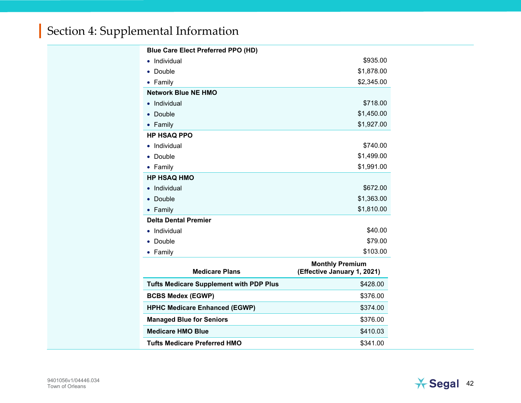| <b>Blue Care Elect Preferred PPO (HD)</b>      |                                                       |  |
|------------------------------------------------|-------------------------------------------------------|--|
| Individual                                     | \$935.00                                              |  |
| Double<br>$\bullet$                            | \$1,878.00                                            |  |
| • Family                                       | \$2,345.00                                            |  |
| <b>Network Blue NE HMO</b>                     |                                                       |  |
| Individual<br>$\bullet$                        | \$718.00                                              |  |
| Double                                         | \$1,450.00                                            |  |
| Family                                         | \$1,927.00                                            |  |
| <b>HP HSAQ PPO</b>                             |                                                       |  |
| Individual<br>$\bullet$                        | \$740.00                                              |  |
| Double                                         | \$1,499.00                                            |  |
| • Family                                       | \$1,991.00                                            |  |
| <b>HP HSAQ HMO</b>                             |                                                       |  |
| Individual                                     | \$672.00                                              |  |
| Double<br>$\bullet$                            | \$1,363.00                                            |  |
| • Family                                       | \$1,810.00                                            |  |
| <b>Delta Dental Premier</b>                    |                                                       |  |
| Individual                                     | \$40.00                                               |  |
| Double<br>$\bullet$                            | \$79.00                                               |  |
| • Family                                       | \$103.00                                              |  |
| <b>Medicare Plans</b>                          | <b>Monthly Premium</b><br>(Effective January 1, 2021) |  |
| <b>Tufts Medicare Supplement with PDP Plus</b> | \$428.00                                              |  |
| <b>BCBS Medex (EGWP)</b>                       | \$376.00                                              |  |
| <b>HPHC Medicare Enhanced (EGWP)</b>           | \$374.00                                              |  |
| <b>Managed Blue for Seniors</b>                | \$376.00                                              |  |
| <b>Medicare HMO Blue</b>                       | \$410.03                                              |  |
| <b>Tufts Medicare Preferred HMO</b>            | \$341.00                                              |  |

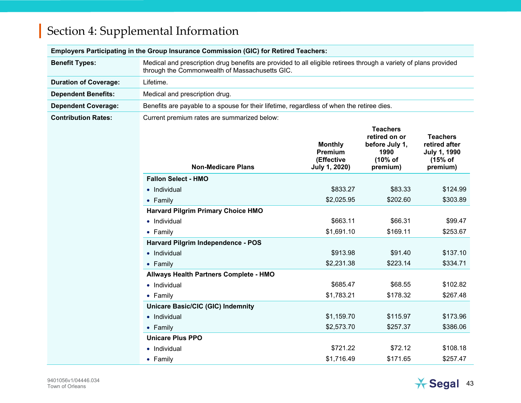| Employers Participating in the Group Insurance Commission (GIC) for Retired Teachers: |                                                                                                                                                                    |                                                          |                                                                                   |                                                                                |
|---------------------------------------------------------------------------------------|--------------------------------------------------------------------------------------------------------------------------------------------------------------------|----------------------------------------------------------|-----------------------------------------------------------------------------------|--------------------------------------------------------------------------------|
| <b>Benefit Types:</b>                                                                 | Medical and prescription drug benefits are provided to all eligible retirees through a variety of plans provided<br>through the Commonwealth of Massachusetts GIC. |                                                          |                                                                                   |                                                                                |
| <b>Duration of Coverage:</b>                                                          | Lifetime.                                                                                                                                                          |                                                          |                                                                                   |                                                                                |
| <b>Dependent Benefits:</b>                                                            | Medical and prescription drug.                                                                                                                                     |                                                          |                                                                                   |                                                                                |
| <b>Dependent Coverage:</b>                                                            | Benefits are payable to a spouse for their lifetime, regardless of when the retiree dies.                                                                          |                                                          |                                                                                   |                                                                                |
| <b>Contribution Rates:</b>                                                            | Current premium rates are summarized below:                                                                                                                        |                                                          |                                                                                   |                                                                                |
|                                                                                       | <b>Non-Medicare Plans</b>                                                                                                                                          | <b>Monthly</b><br>Premium<br>(Effective<br>July 1, 2020) | <b>Teachers</b><br>retired on or<br>before July 1,<br>1990<br>(10% of<br>premium) | <b>Teachers</b><br>retired after<br><b>July 1, 1990</b><br>(15% of<br>premium) |
|                                                                                       | <b>Fallon Select - HMO</b>                                                                                                                                         |                                                          |                                                                                   |                                                                                |
|                                                                                       | • Individual                                                                                                                                                       | \$833.27                                                 | \$83.33                                                                           | \$124.99                                                                       |
|                                                                                       | $\bullet$ Family                                                                                                                                                   | \$2,025.95                                               | \$202.60                                                                          | \$303.89                                                                       |
|                                                                                       | <b>Harvard Pilgrim Primary Choice HMO</b>                                                                                                                          |                                                          |                                                                                   |                                                                                |
|                                                                                       | • Individual                                                                                                                                                       | \$663.11                                                 | \$66.31                                                                           | \$99.47                                                                        |
|                                                                                       | $\bullet$ Family                                                                                                                                                   | \$1,691.10                                               | \$169.11                                                                          | \$253.67                                                                       |
|                                                                                       | Harvard Pilgrim Independence - POS                                                                                                                                 |                                                          |                                                                                   |                                                                                |
|                                                                                       | • Individual                                                                                                                                                       | \$913.98                                                 | \$91.40                                                                           | \$137.10                                                                       |
|                                                                                       | • Family                                                                                                                                                           | \$2,231.38                                               | \$223.14                                                                          | \$334.71                                                                       |
|                                                                                       | Allways Health Partners Complete - HMO                                                                                                                             |                                                          |                                                                                   |                                                                                |
|                                                                                       | • Individual                                                                                                                                                       | \$685.47                                                 | \$68.55                                                                           | \$102.82                                                                       |
|                                                                                       | • Family                                                                                                                                                           | \$1,783.21                                               | \$178.32                                                                          | \$267.48                                                                       |
|                                                                                       | <b>Unicare Basic/CIC (GIC) Indemnity</b>                                                                                                                           |                                                          |                                                                                   |                                                                                |
|                                                                                       | • Individual                                                                                                                                                       | \$1,159.70                                               | \$115.97                                                                          | \$173.96                                                                       |
|                                                                                       | $\bullet$ Family                                                                                                                                                   | \$2,573.70                                               | \$257.37                                                                          | \$386.06                                                                       |
|                                                                                       | <b>Unicare Plus PPO</b>                                                                                                                                            |                                                          |                                                                                   |                                                                                |
|                                                                                       | • Individual                                                                                                                                                       | \$721.22                                                 | \$72.12                                                                           | \$108.18                                                                       |
|                                                                                       | $\bullet$ Family                                                                                                                                                   | \$1,716.49                                               | \$171.65                                                                          | \$257.47                                                                       |

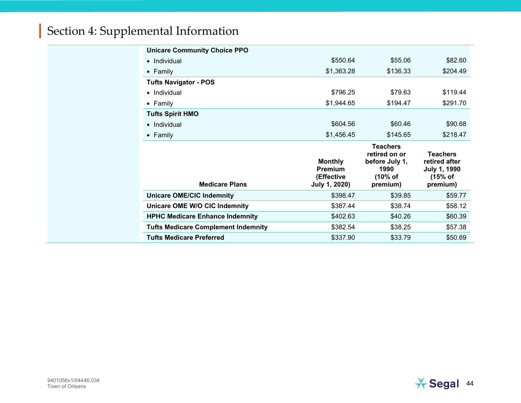| <b>Unicare Community Choice PPO</b>        |                                                                 |                                                                                   |                                                                                |
|--------------------------------------------|-----------------------------------------------------------------|-----------------------------------------------------------------------------------|--------------------------------------------------------------------------------|
| • Individual                               | \$550.64                                                        | \$55.06                                                                           | \$82.60                                                                        |
| $\bullet$ Family                           | \$1,363.28                                                      | \$136.33                                                                          | \$204.49                                                                       |
| <b>Tufts Navigator - POS</b>               |                                                                 |                                                                                   |                                                                                |
| $\bullet$ Individual                       | \$796.25                                                        | \$79.63                                                                           | \$119.44                                                                       |
| $\bullet$ Family                           | \$1,944.65                                                      | \$194.47                                                                          | \$291.70                                                                       |
| <b>Tufts Spirit HMO</b>                    |                                                                 |                                                                                   |                                                                                |
| $\bullet$ Individual                       | \$604.56                                                        | \$60.46                                                                           | \$90.68                                                                        |
| $\bullet$ Family                           | \$1,456.45                                                      | \$145.65                                                                          | \$218.47                                                                       |
|                                            |                                                                 |                                                                                   |                                                                                |
| <b>Medicare Plans</b>                      | <b>Monthly</b><br><b>Premium</b><br>(Effective<br>July 1, 2020) | <b>Teachers</b><br>retired on or<br>before July 1,<br>1990<br>(10% of<br>premium) | <b>Teachers</b><br>retired after<br><b>July 1, 1990</b><br>(15% of<br>premium) |
| <b>Unicare OME/CIC Indemnity</b>           | \$398.47                                                        | \$39.85                                                                           | \$59.77                                                                        |
| Unicare OME W/O CIC Indemnity              | \$387.44                                                        | \$38.74                                                                           | \$58.12                                                                        |
| <b>HPHC Medicare Enhance Indemnity</b>     | \$402.63                                                        | \$40.26                                                                           | \$60.39                                                                        |
| <b>Tufts Medicare Complement Indemnity</b> | \$382.54                                                        | \$38.25                                                                           | \$57.38                                                                        |